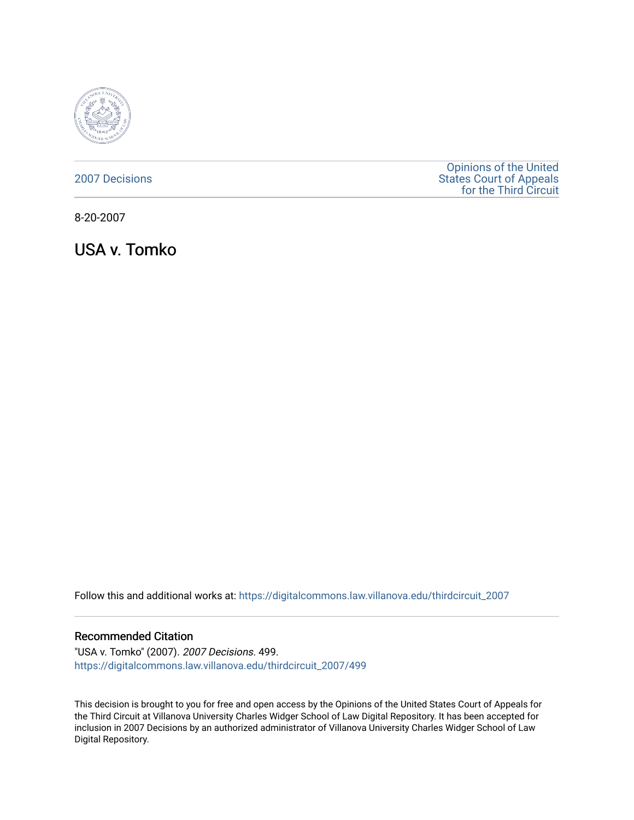

[2007 Decisions](https://digitalcommons.law.villanova.edu/thirdcircuit_2007)

[Opinions of the United](https://digitalcommons.law.villanova.edu/thirdcircuit)  [States Court of Appeals](https://digitalcommons.law.villanova.edu/thirdcircuit)  [for the Third Circuit](https://digitalcommons.law.villanova.edu/thirdcircuit) 

8-20-2007

USA v. Tomko

Follow this and additional works at: [https://digitalcommons.law.villanova.edu/thirdcircuit\\_2007](https://digitalcommons.law.villanova.edu/thirdcircuit_2007?utm_source=digitalcommons.law.villanova.edu%2Fthirdcircuit_2007%2F499&utm_medium=PDF&utm_campaign=PDFCoverPages) 

## Recommended Citation

"USA v. Tomko" (2007). 2007 Decisions. 499. [https://digitalcommons.law.villanova.edu/thirdcircuit\\_2007/499](https://digitalcommons.law.villanova.edu/thirdcircuit_2007/499?utm_source=digitalcommons.law.villanova.edu%2Fthirdcircuit_2007%2F499&utm_medium=PDF&utm_campaign=PDFCoverPages)

This decision is brought to you for free and open access by the Opinions of the United States Court of Appeals for the Third Circuit at Villanova University Charles Widger School of Law Digital Repository. It has been accepted for inclusion in 2007 Decisions by an authorized administrator of Villanova University Charles Widger School of Law Digital Repository.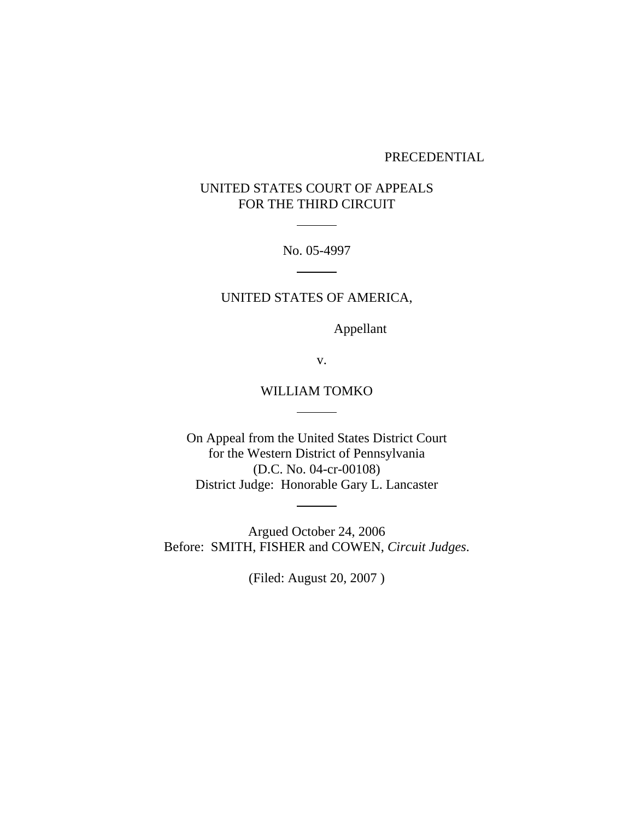### PRECEDENTIAL

# UNITED STATES COURT OF APPEALS FOR THE THIRD CIRCUIT

l

No. 05-4997  $\overline{\phantom{a}}$ 

# UNITED STATES OF AMERICA,

Appellant

v.

# WILLIAM TOMKO

On Appeal from the United States District Court for the Western District of Pennsylvania (D.C. No. 04-cr-00108) District Judge: Honorable Gary L. Lancaster

Argued October 24, 2006 Before: SMITH, FISHER and COWEN, *Circuit Judges*.

 $\mathcal{L}^{\text{max}}$ 

(Filed: August 20, 2007 )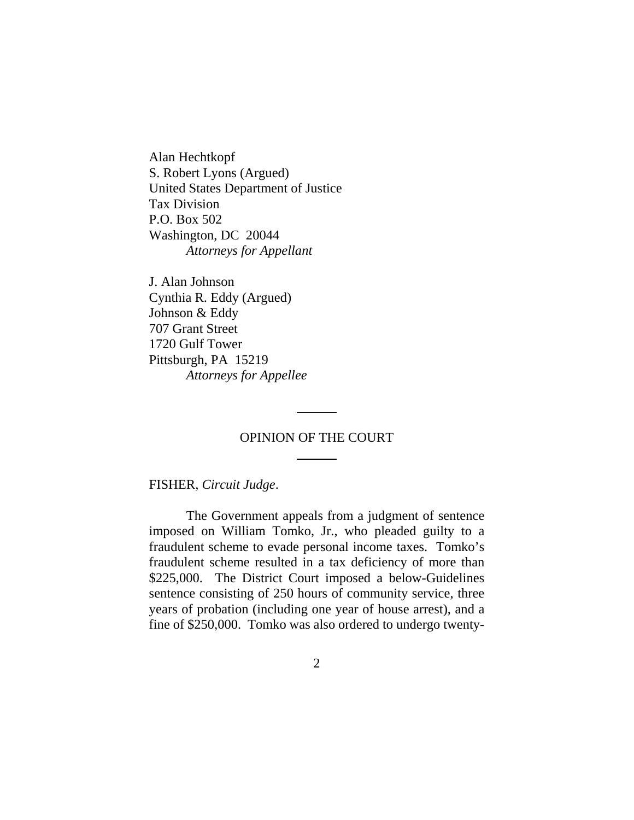Alan Hechtkopf S. Robert Lyons (Argued) United States Department of Justice Tax Division P.O. Box 502 Washington, DC 20044 *Attorneys for Appellant*

J. Alan Johnson Cynthia R. Eddy (Argued) Johnson & Eddy 707 Grant Street 1720 Gulf Tower Pittsburgh, PA 15219 *Attorneys for Appellee*

# OPINION OF THE COURT

l

l

## FISHER, *Circuit Judge*.

The Government appeals from a judgment of sentence imposed on William Tomko, Jr., who pleaded guilty to a fraudulent scheme to evade personal income taxes. Tomko's fraudulent scheme resulted in a tax deficiency of more than \$225,000. The District Court imposed a below-Guidelines sentence consisting of 250 hours of community service, three years of probation (including one year of house arrest), and a fine of \$250,000. Tomko was also ordered to undergo twenty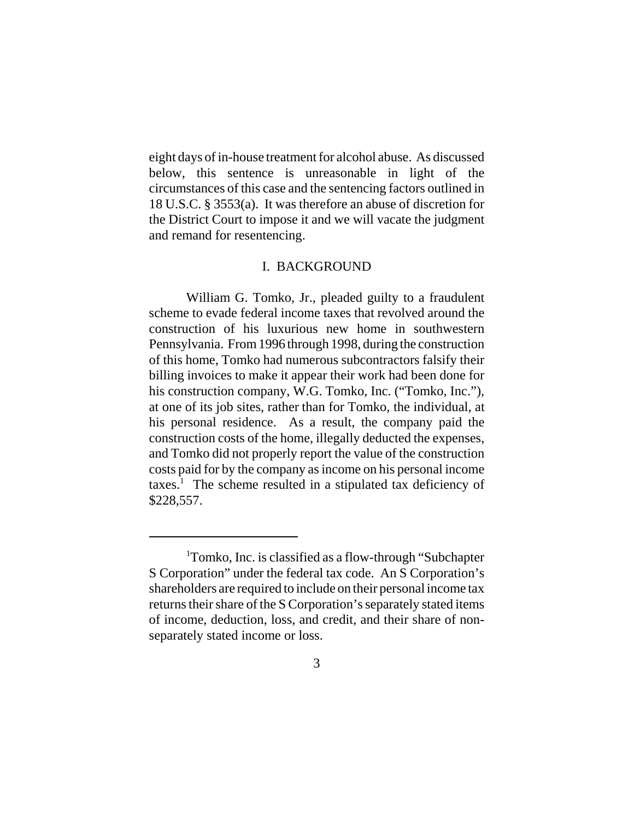eight days of in-house treatment for alcohol abuse. As discussed below, this sentence is unreasonable in light of the circumstances of this case and the sentencing factors outlined in 18 U.S.C. § 3553(a). It was therefore an abuse of discretion for the District Court to impose it and we will vacate the judgment and remand for resentencing.

### I. BACKGROUND

William G. Tomko, Jr., pleaded guilty to a fraudulent scheme to evade federal income taxes that revolved around the construction of his luxurious new home in southwestern Pennsylvania. From 1996 through 1998, during the construction of this home, Tomko had numerous subcontractors falsify their billing invoices to make it appear their work had been done for his construction company, W.G. Tomko, Inc. ("Tomko, Inc."), at one of its job sites, rather than for Tomko, the individual, at his personal residence. As a result, the company paid the construction costs of the home, illegally deducted the expenses, and Tomko did not properly report the value of the construction costs paid for by the company as income on his personal income  $\arccos$ <sup>1</sup>. The scheme resulted in a stipulated tax deficiency of \$228,557.

<sup>&</sup>lt;sup>1</sup>Tomko, Inc. is classified as a flow-through "Subchapter S Corporation" under the federal tax code. An S Corporation's shareholders are required to include on their personal income tax returns their share of the S Corporation's separately stated items of income, deduction, loss, and credit, and their share of nonseparately stated income or loss.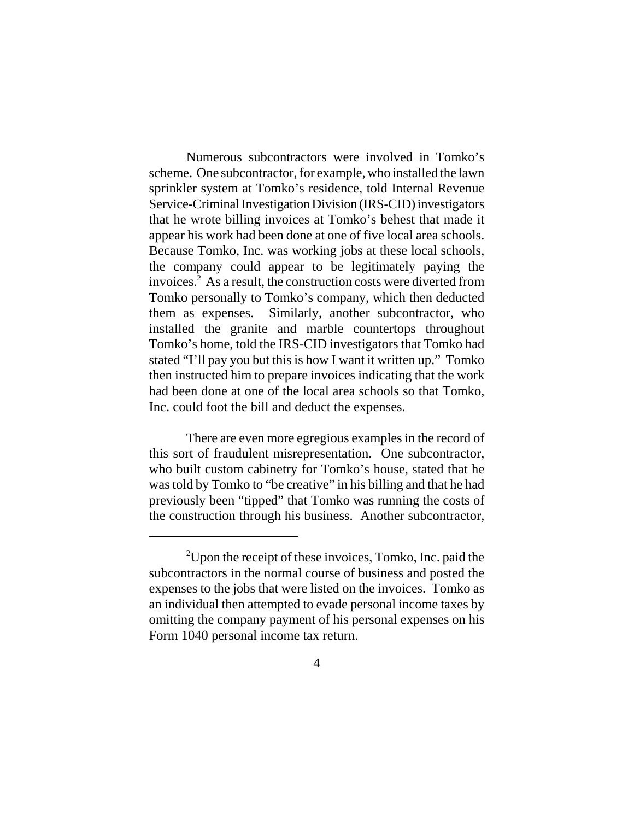Numerous subcontractors were involved in Tomko's scheme. One subcontractor, for example, who installed the lawn sprinkler system at Tomko's residence, told Internal Revenue Service-Criminal Investigation Division (IRS-CID) investigators that he wrote billing invoices at Tomko's behest that made it appear his work had been done at one of five local area schools. Because Tomko, Inc. was working jobs at these local schools, the company could appear to be legitimately paying the invoices.2 As a result, the construction costs were diverted from Tomko personally to Tomko's company, which then deducted them as expenses. Similarly, another subcontractor, who installed the granite and marble countertops throughout Tomko's home, told the IRS-CID investigators that Tomko had stated "I'll pay you but this is how I want it written up." Tomko then instructed him to prepare invoices indicating that the work had been done at one of the local area schools so that Tomko, Inc. could foot the bill and deduct the expenses.

There are even more egregious examples in the record of this sort of fraudulent misrepresentation. One subcontractor, who built custom cabinetry for Tomko's house, stated that he was told by Tomko to "be creative" in his billing and that he had previously been "tipped" that Tomko was running the costs of the construction through his business. Another subcontractor,

<sup>&</sup>lt;sup>2</sup>Upon the receipt of these invoices, Tomko, Inc. paid the subcontractors in the normal course of business and posted the expenses to the jobs that were listed on the invoices. Tomko as an individual then attempted to evade personal income taxes by omitting the company payment of his personal expenses on his Form 1040 personal income tax return.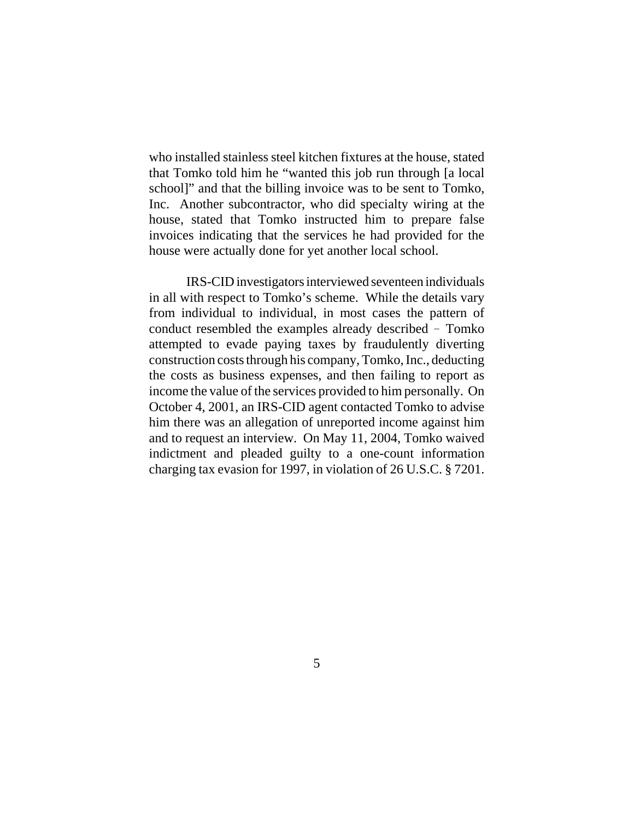who installed stainless steel kitchen fixtures at the house, stated that Tomko told him he "wanted this job run through [a local school]" and that the billing invoice was to be sent to Tomko, Inc. Another subcontractor, who did specialty wiring at the house, stated that Tomko instructed him to prepare false invoices indicating that the services he had provided for the house were actually done for yet another local school.

IRS-CID investigators interviewed seventeen individuals in all with respect to Tomko's scheme. While the details vary from individual to individual, in most cases the pattern of conduct resembled the examples already described - Tomko attempted to evade paying taxes by fraudulently diverting construction costs through his company, Tomko, Inc., deducting the costs as business expenses, and then failing to report as income the value of the services provided to him personally. On October 4, 2001, an IRS-CID agent contacted Tomko to advise him there was an allegation of unreported income against him and to request an interview. On May 11, 2004, Tomko waived indictment and pleaded guilty to a one-count information charging tax evasion for 1997, in violation of 26 U.S.C. § 7201.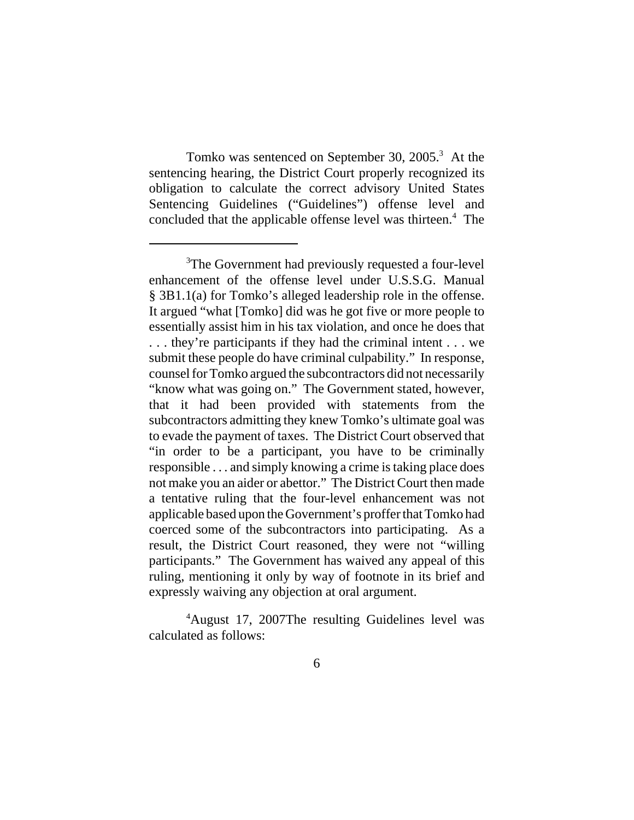Tomko was sentenced on September 30, 2005.<sup>3</sup> At the sentencing hearing, the District Court properly recognized its obligation to calculate the correct advisory United States Sentencing Guidelines ("Guidelines") offense level and concluded that the applicable offense level was thirteen.<sup>4</sup> The

4 August 17, 2007The resulting Guidelines level was calculated as follows:

<sup>&</sup>lt;sup>3</sup>The Government had previously requested a four-level enhancement of the offense level under U.S.S.G. Manual § 3B1.1(a) for Tomko's alleged leadership role in the offense. It argued "what [Tomko] did was he got five or more people to essentially assist him in his tax violation, and once he does that . . . they're participants if they had the criminal intent . . . we submit these people do have criminal culpability." In response, counsel for Tomko argued the subcontractors did not necessarily "know what was going on." The Government stated, however, that it had been provided with statements from the subcontractors admitting they knew Tomko's ultimate goal was to evade the payment of taxes. The District Court observed that "in order to be a participant, you have to be criminally responsible . . . and simply knowing a crime is taking place does not make you an aider or abettor." The District Court then made a tentative ruling that the four-level enhancement was not applicable based upon the Government's proffer that Tomko had coerced some of the subcontractors into participating. As a result, the District Court reasoned, they were not "willing participants." The Government has waived any appeal of this ruling, mentioning it only by way of footnote in its brief and expressly waiving any objection at oral argument.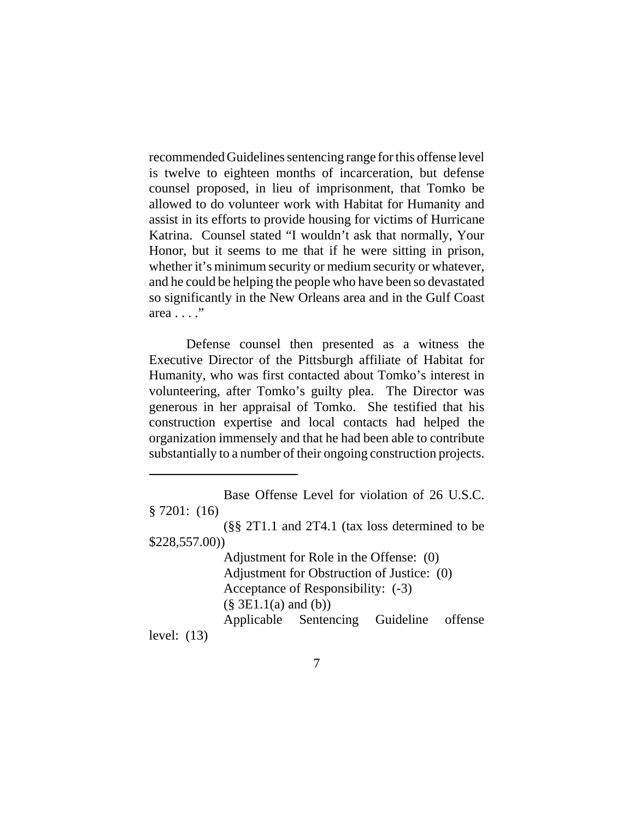recommended Guidelines sentencing range for this offense level is twelve to eighteen months of incarceration, but defense counsel proposed, in lieu of imprisonment, that Tomko be allowed to do volunteer work with Habitat for Humanity and assist in its efforts to provide housing for victims of Hurricane Katrina. Counsel stated "I wouldn't ask that normally, Your Honor, but it seems to me that if he were sitting in prison, whether it's minimum security or medium security or whatever, and he could be helping the people who have been so devastated so significantly in the New Orleans area and in the Gulf Coast area . . . ."

Defense counsel then presented as a witness the Executive Director of the Pittsburgh affiliate of Habitat for Humanity, who was first contacted about Tomko's interest in volunteering, after Tomko's guilty plea. The Director was generous in her appraisal of Tomko. She testified that his construction expertise and local contacts had helped the organization immensely and that he had been able to contribute substantially to a number of their ongoing construction projects.

Adjustment for Role in the Offense: (0) Adjustment for Obstruction of Justice: (0) Acceptance of Responsibility: (-3)  $(\S$  3E1.1(a) and (b)) Applicable Sentencing Guideline offense

level: (13)

Base Offense Level for violation of 26 U.S.C. § 7201: (16)

<sup>(§§ 2</sup>T1.1 and 2T4.1 (tax loss determined to be \$228,557.00))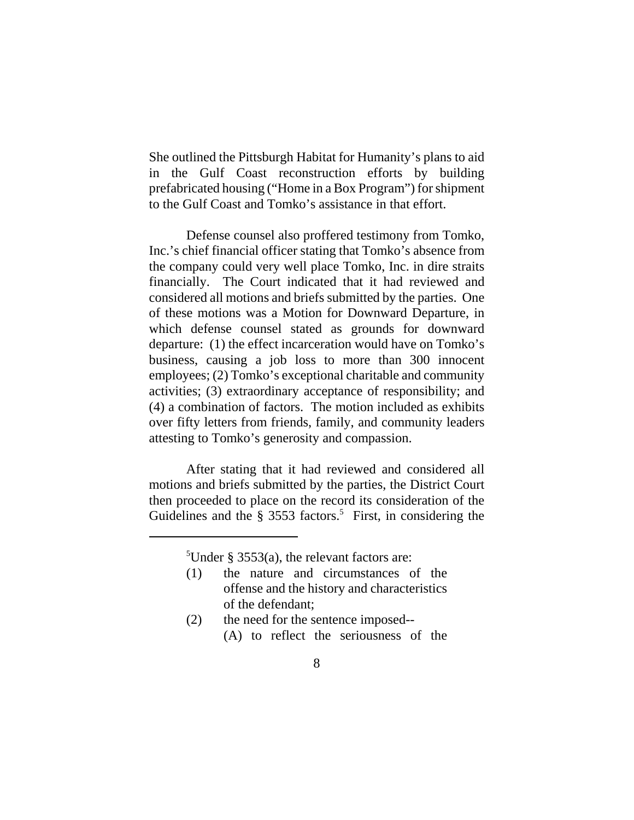She outlined the Pittsburgh Habitat for Humanity's plans to aid in the Gulf Coast reconstruction efforts by building prefabricated housing ("Home in a Box Program") for shipment to the Gulf Coast and Tomko's assistance in that effort.

Defense counsel also proffered testimony from Tomko, Inc.'s chief financial officer stating that Tomko's absence from the company could very well place Tomko, Inc. in dire straits financially. The Court indicated that it had reviewed and considered all motions and briefs submitted by the parties. One of these motions was a Motion for Downward Departure, in which defense counsel stated as grounds for downward departure: (1) the effect incarceration would have on Tomko's business, causing a job loss to more than 300 innocent employees; (2) Tomko's exceptional charitable and community activities; (3) extraordinary acceptance of responsibility; and (4) a combination of factors. The motion included as exhibits over fifty letters from friends, family, and community leaders attesting to Tomko's generosity and compassion.

After stating that it had reviewed and considered all motions and briefs submitted by the parties, the District Court then proceeded to place on the record its consideration of the Guidelines and the  $\S$  3553 factors.<sup>5</sup> First, in considering the

<sup>5</sup>Under § 3553(a), the relevant factors are:

- (1) the nature and circumstances of the offense and the history and characteristics of the defendant;
- (2) the need for the sentence imposed-- (A) to reflect the seriousness of the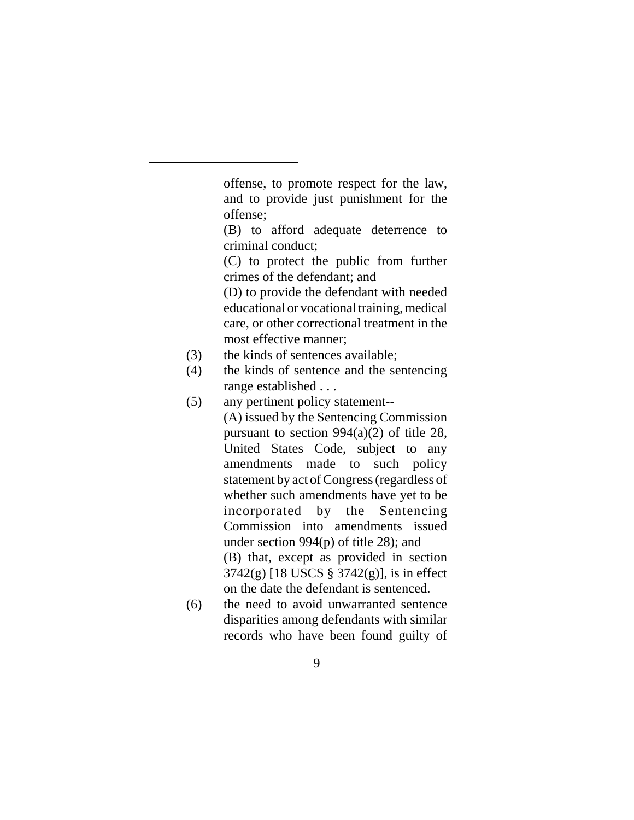offense, to promote respect for the law, and to provide just punishment for the offense;

(B) to afford adequate deterrence to criminal conduct;

(C) to protect the public from further crimes of the defendant; and

(D) to provide the defendant with needed educational or vocational training, medical care, or other correctional treatment in the most effective manner;

- (3) the kinds of sentences available;
- (4) the kinds of sentence and the sentencing range established . . .
- (5) any pertinent policy statement-- (A) issued by the Sentencing Commission pursuant to section 994(a)(2) of title 28, United States Code, subject to any amendments made to such policy statement by act of Congress (regardless of whether such amendments have yet to be incorporated by the Sentencing Commission into amendments issued under section 994(p) of title 28); and (B) that, except as provided in section 3742(g) [18 USCS § 3742(g)], is in effect on the date the defendant is sentenced.
- (6) the need to avoid unwarranted sentence disparities among defendants with similar records who have been found guilty of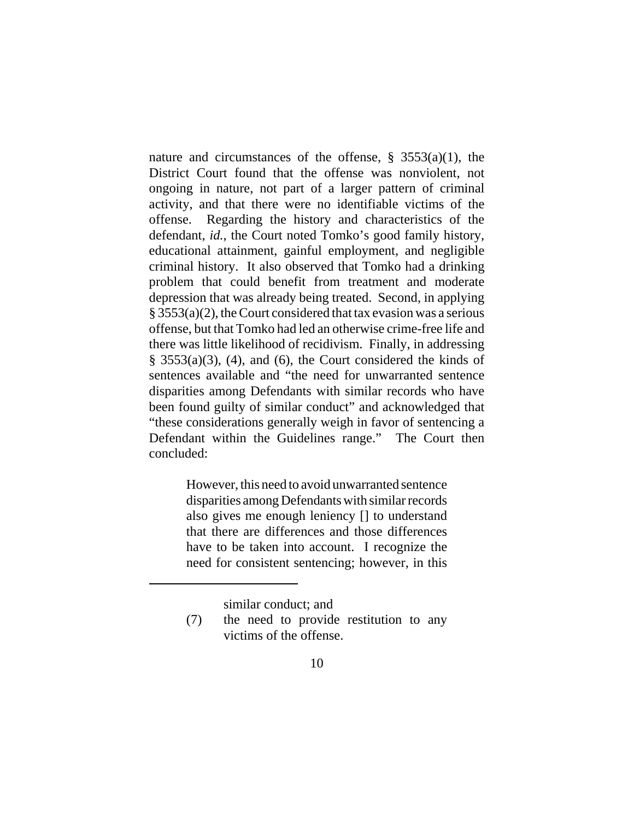nature and circumstances of the offense, § 3553(a)(1), the District Court found that the offense was nonviolent, not ongoing in nature, not part of a larger pattern of criminal activity, and that there were no identifiable victims of the offense. Regarding the history and characteristics of the defendant, *id.*, the Court noted Tomko's good family history, educational attainment, gainful employment, and negligible criminal history. It also observed that Tomko had a drinking problem that could benefit from treatment and moderate depression that was already being treated. Second, in applying § 3553(a)(2), the Court considered that tax evasion was a serious offense, but that Tomko had led an otherwise crime-free life and there was little likelihood of recidivism. Finally, in addressing  $§$  3553(a)(3), (4), and (6), the Court considered the kinds of sentences available and "the need for unwarranted sentence disparities among Defendants with similar records who have been found guilty of similar conduct" and acknowledged that "these considerations generally weigh in favor of sentencing a Defendant within the Guidelines range." The Court then concluded:

> However, this need to avoid unwarranted sentence disparities among Defendants with similar records also gives me enough leniency [] to understand that there are differences and those differences have to be taken into account. I recognize the need for consistent sentencing; however, in this

> > similar conduct; and

<sup>(7)</sup> the need to provide restitution to any victims of the offense.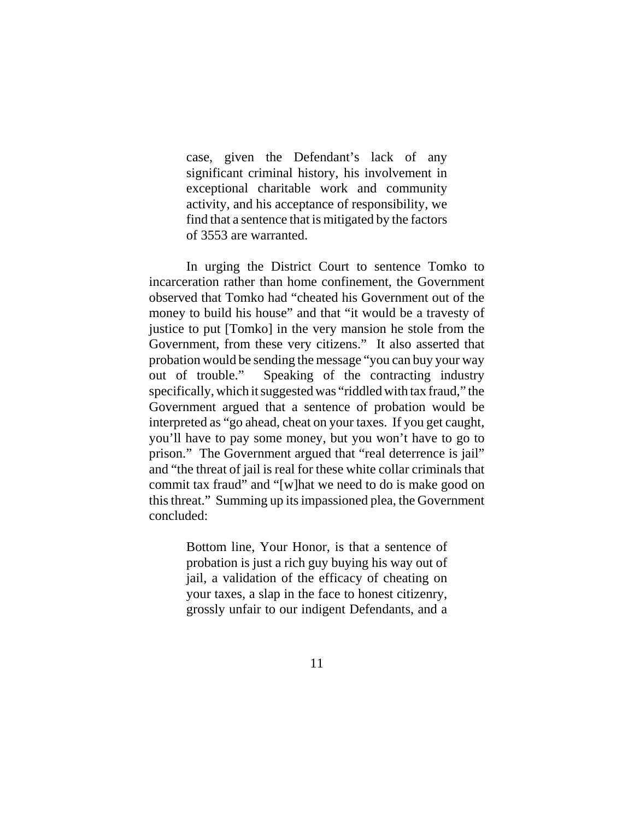case, given the Defendant's lack of any significant criminal history, his involvement in exceptional charitable work and community activity, and his acceptance of responsibility, we find that a sentence that is mitigated by the factors of 3553 are warranted.

In urging the District Court to sentence Tomko to incarceration rather than home confinement, the Government observed that Tomko had "cheated his Government out of the money to build his house" and that "it would be a travesty of justice to put [Tomko] in the very mansion he stole from the Government, from these very citizens." It also asserted that probation would be sending the message "you can buy your way out of trouble." Speaking of the contracting industry specifically, which it suggested was "riddled with tax fraud," the Government argued that a sentence of probation would be interpreted as "go ahead, cheat on your taxes. If you get caught, you'll have to pay some money, but you won't have to go to prison." The Government argued that "real deterrence is jail" and "the threat of jail is real for these white collar criminals that commit tax fraud" and "[w]hat we need to do is make good on this threat." Summing up its impassioned plea, the Government concluded:

> Bottom line, Your Honor, is that a sentence of probation is just a rich guy buying his way out of jail, a validation of the efficacy of cheating on your taxes, a slap in the face to honest citizenry, grossly unfair to our indigent Defendants, and a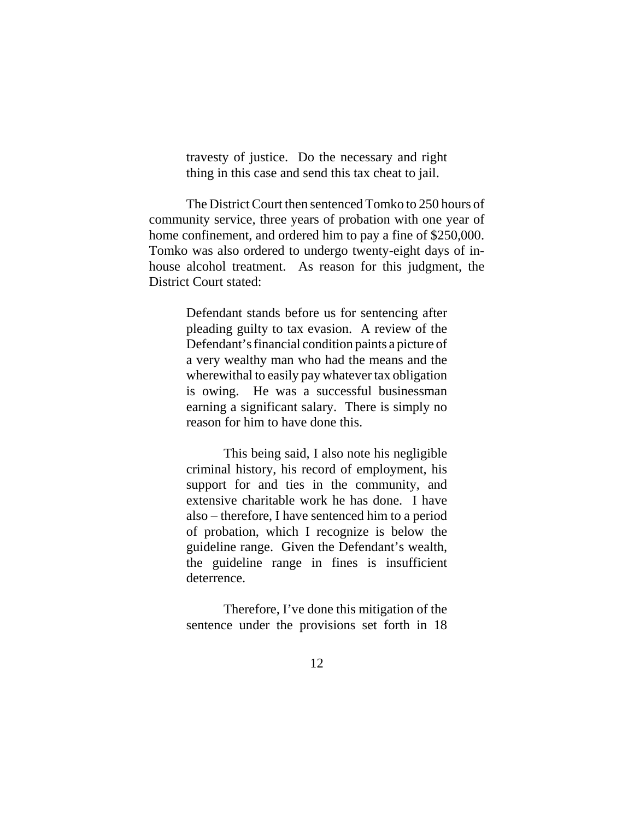travesty of justice. Do the necessary and right thing in this case and send this tax cheat to jail.

The District Court then sentenced Tomko to 250 hours of community service, three years of probation with one year of home confinement, and ordered him to pay a fine of \$250,000. Tomko was also ordered to undergo twenty-eight days of inhouse alcohol treatment. As reason for this judgment, the District Court stated:

> Defendant stands before us for sentencing after pleading guilty to tax evasion. A review of the Defendant's financial condition paints a picture of a very wealthy man who had the means and the wherewithal to easily pay whatever tax obligation is owing. He was a successful businessman earning a significant salary. There is simply no reason for him to have done this.

> This being said, I also note his negligible criminal history, his record of employment, his support for and ties in the community, and extensive charitable work he has done. I have also – therefore, I have sentenced him to a period of probation, which I recognize is below the guideline range. Given the Defendant's wealth, the guideline range in fines is insufficient deterrence.

> Therefore, I've done this mitigation of the sentence under the provisions set forth in 18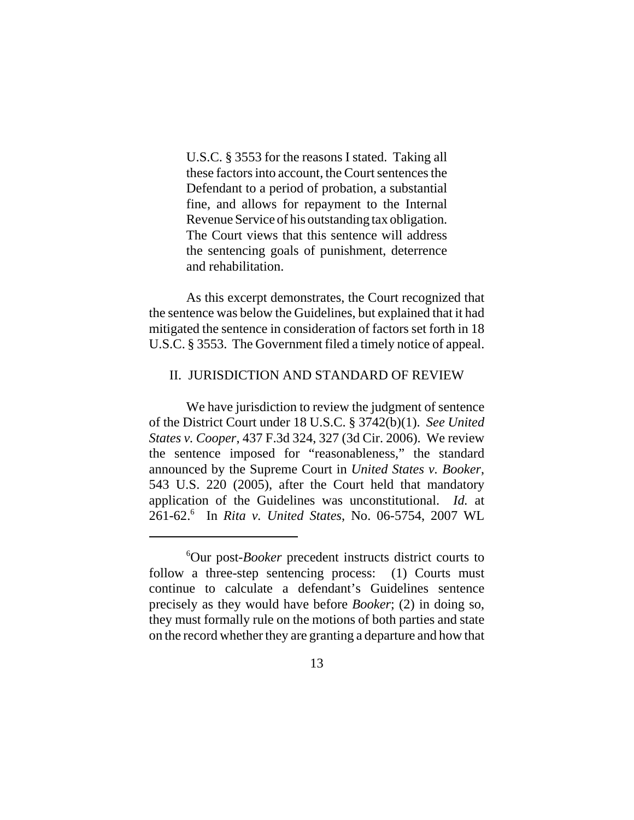U.S.C. § 3553 for the reasons I stated. Taking all these factors into account, the Court sentences the Defendant to a period of probation, a substantial fine, and allows for repayment to the Internal Revenue Service of his outstanding tax obligation. The Court views that this sentence will address the sentencing goals of punishment, deterrence and rehabilitation.

As this excerpt demonstrates, the Court recognized that the sentence was below the Guidelines, but explained that it had mitigated the sentence in consideration of factors set forth in 18 U.S.C. § 3553. The Government filed a timely notice of appeal.

# II. JURISDICTION AND STANDARD OF REVIEW

We have jurisdiction to review the judgment of sentence of the District Court under 18 U.S.C. § 3742(b)(1). *See United States v. Cooper*, 437 F.3d 324, 327 (3d Cir. 2006). We review the sentence imposed for "reasonableness," the standard announced by the Supreme Court in *United States v. Booker*, 543 U.S. 220 (2005), after the Court held that mandatory application of the Guidelines was unconstitutional. *Id.* at 261-62.6 In *Rita v. United States*, No. 06-5754, 2007 WL

<sup>6</sup> Our post-*Booker* precedent instructs district courts to follow a three-step sentencing process: (1) Courts must continue to calculate a defendant's Guidelines sentence precisely as they would have before *Booker*; (2) in doing so, they must formally rule on the motions of both parties and state on the record whether they are granting a departure and how that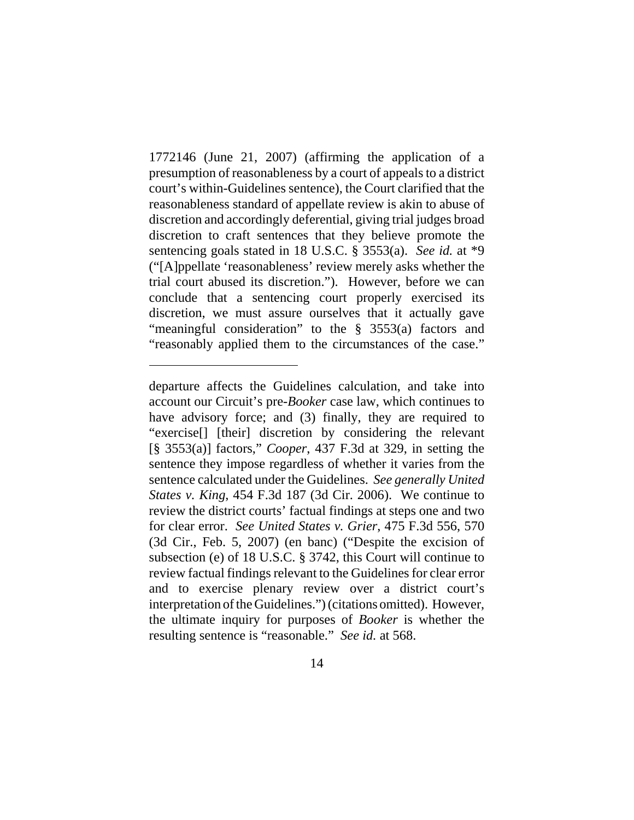1772146 (June 21, 2007) (affirming the application of a presumption of reasonableness by a court of appeals to a district court's within-Guidelines sentence), the Court clarified that the reasonableness standard of appellate review is akin to abuse of discretion and accordingly deferential, giving trial judges broad discretion to craft sentences that they believe promote the sentencing goals stated in 18 U.S.C. § 3553(a). *See id.* at \*9 ("[A]ppellate 'reasonableness' review merely asks whether the trial court abused its discretion."). However, before we can conclude that a sentencing court properly exercised its discretion, we must assure ourselves that it actually gave "meaningful consideration" to the § 3553(a) factors and "reasonably applied them to the circumstances of the case."

departure affects the Guidelines calculation, and take into account our Circuit's pre-*Booker* case law, which continues to have advisory force; and (3) finally, they are required to "exercise[] [their] discretion by considering the relevant [§ 3553(a)] factors," *Cooper*, 437 F.3d at 329, in setting the sentence they impose regardless of whether it varies from the sentence calculated under the Guidelines. *See generally United States v. King*, 454 F.3d 187 (3d Cir. 2006). We continue to review the district courts' factual findings at steps one and two for clear error. *See United States v. Grier*, 475 F.3d 556, 570 (3d Cir., Feb. 5, 2007) (en banc) ("Despite the excision of subsection (e) of 18 U.S.C. § 3742, this Court will continue to review factual findings relevant to the Guidelines for clear error and to exercise plenary review over a district court's interpretation of the Guidelines.") (citations omitted). However, the ultimate inquiry for purposes of *Booker* is whether the resulting sentence is "reasonable." *See id.* at 568.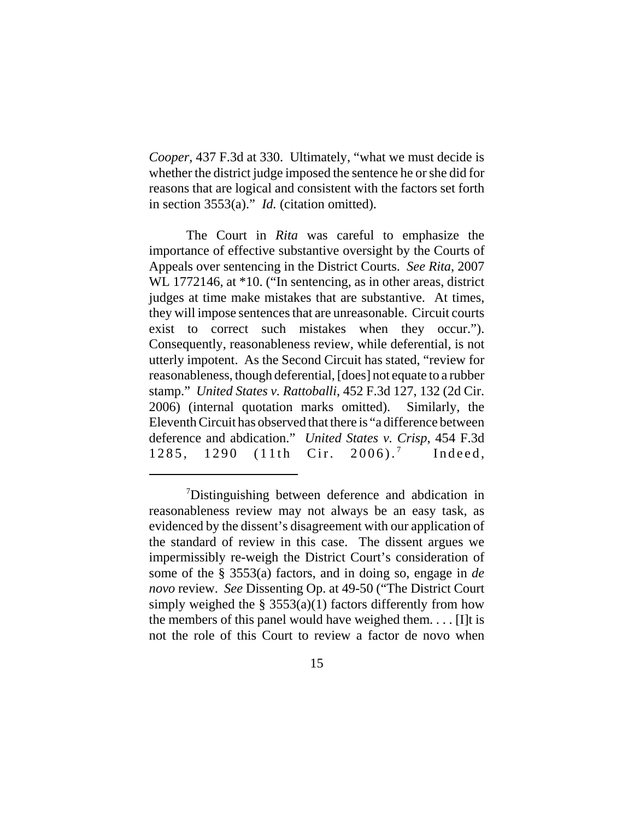*Cooper*, 437 F.3d at 330. Ultimately, "what we must decide is whether the district judge imposed the sentence he or she did for reasons that are logical and consistent with the factors set forth in section 3553(a)." *Id.* (citation omitted).

The Court in *Rita* was careful to emphasize the importance of effective substantive oversight by the Courts of Appeals over sentencing in the District Courts. *See Rita*, 2007 WL 1772146, at \*10. ("In sentencing, as in other areas, district judges at time make mistakes that are substantive. At times, they will impose sentences that are unreasonable. Circuit courts exist to correct such mistakes when they occur."). Consequently, reasonableness review, while deferential, is not utterly impotent. As the Second Circuit has stated, "review for reasonableness, though deferential, [does] not equate to a rubber stamp." *United States v. Rattoballi*, 452 F.3d 127, 132 (2d Cir. 2006) (internal quotation marks omitted). Similarly, the Eleventh Circuit has observed that there is "a difference between deference and abdication." *United States v. Crisp*, 454 F.3d 1285, 1290 (11th Cir. 2006).<sup>7</sup> Indeed,

<sup>&</sup>lt;sup>7</sup>Distinguishing between deference and abdication in reasonableness review may not always be an easy task, as evidenced by the dissent's disagreement with our application of the standard of review in this case. The dissent argues we impermissibly re-weigh the District Court's consideration of some of the § 3553(a) factors, and in doing so, engage in *de novo* review. *See* Dissenting Op. at 49-50 ("The District Court simply weighed the  $\S$  3553(a)(1) factors differently from how the members of this panel would have weighed them. . . . [I]t is not the role of this Court to review a factor de novo when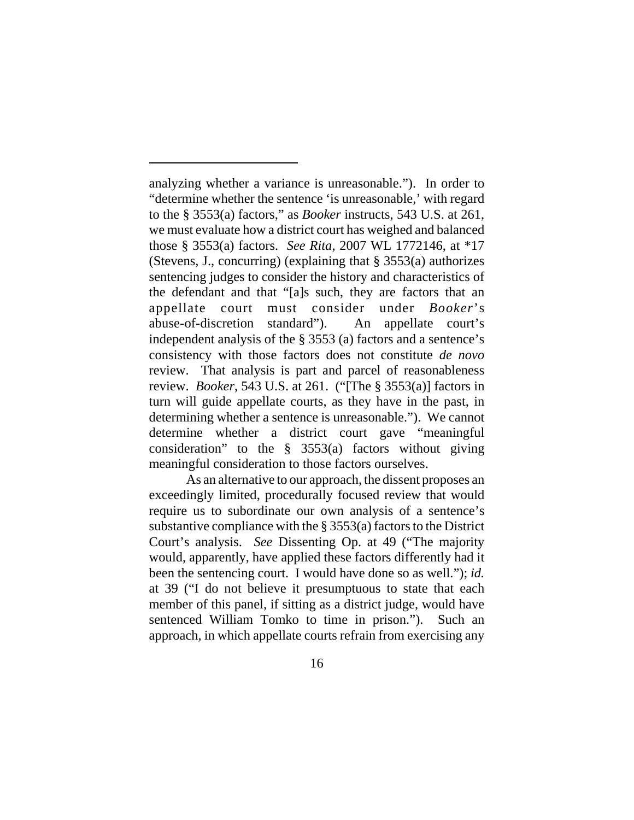analyzing whether a variance is unreasonable."). In order to "determine whether the sentence 'is unreasonable,' with regard to the § 3553(a) factors," as *Booker* instructs, 543 U.S. at 261, we must evaluate how a district court has weighed and balanced those § 3553(a) factors. *See Rita*, 2007 WL 1772146, at \*17 (Stevens, J., concurring) (explaining that § 3553(a) authorizes sentencing judges to consider the history and characteristics of the defendant and that "[a]s such, they are factors that an appellate court must consider under *Booker*'s abuse-of-discretion standard"). An appellate court's independent analysis of the § 3553 (a) factors and a sentence's consistency with those factors does not constitute *de novo* review. That analysis is part and parcel of reasonableness review. *Booker*, 543 U.S. at 261. ("[The § 3553(a)] factors in turn will guide appellate courts, as they have in the past, in determining whether a sentence is unreasonable."). We cannot determine whether a district court gave "meaningful consideration" to the  $\S$  3553(a) factors without giving meaningful consideration to those factors ourselves.

As an alternative to our approach, the dissent proposes an exceedingly limited, procedurally focused review that would require us to subordinate our own analysis of a sentence's substantive compliance with the § 3553(a) factors to the District Court's analysis. *See* Dissenting Op. at 49 ("The majority would, apparently, have applied these factors differently had it been the sentencing court. I would have done so as well."); *id.* at 39 ("I do not believe it presumptuous to state that each member of this panel, if sitting as a district judge, would have sentenced William Tomko to time in prison."). Such an approach, in which appellate courts refrain from exercising any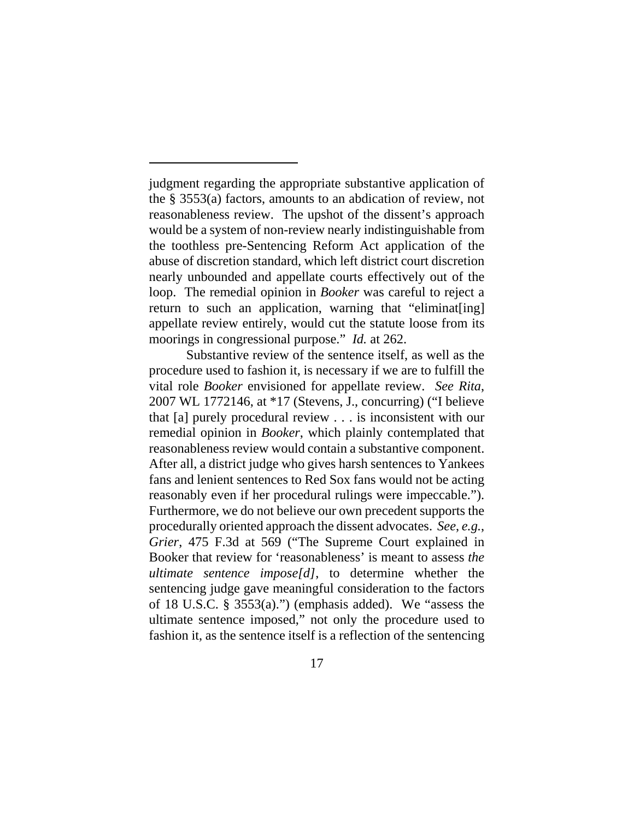judgment regarding the appropriate substantive application of the § 3553(a) factors, amounts to an abdication of review, not reasonableness review. The upshot of the dissent's approach would be a system of non-review nearly indistinguishable from the toothless pre-Sentencing Reform Act application of the abuse of discretion standard, which left district court discretion nearly unbounded and appellate courts effectively out of the loop. The remedial opinion in *Booker* was careful to reject a return to such an application, warning that "eliminat [ing] appellate review entirely, would cut the statute loose from its moorings in congressional purpose." *Id.* at 262.

Substantive review of the sentence itself, as well as the procedure used to fashion it, is necessary if we are to fulfill the vital role *Booker* envisioned for appellate review. *See Rita*, 2007 WL 1772146, at \*17 (Stevens, J., concurring) ("I believe that [a] purely procedural review . . . is inconsistent with our remedial opinion in *Booker*, which plainly contemplated that reasonableness review would contain a substantive component. After all, a district judge who gives harsh sentences to Yankees fans and lenient sentences to Red Sox fans would not be acting reasonably even if her procedural rulings were impeccable."). Furthermore, we do not believe our own precedent supports the procedurally oriented approach the dissent advocates. *See*, *e.g.*, *Grier*, 475 F.3d at 569 ("The Supreme Court explained in Booker that review for 'reasonableness' is meant to assess *the ultimate sentence impose[d]*, to determine whether the sentencing judge gave meaningful consideration to the factors of 18 U.S.C. § 3553(a).") (emphasis added). We "assess the ultimate sentence imposed," not only the procedure used to fashion it, as the sentence itself is a reflection of the sentencing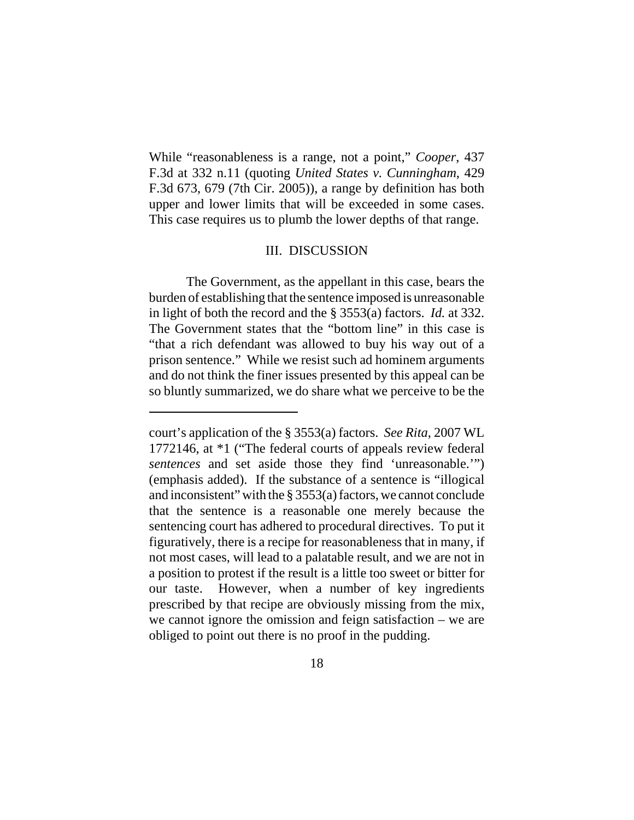While "reasonableness is a range, not a point," *Cooper*, 437 F.3d at 332 n.11 (quoting *United States v. Cunningham*, 429 F.3d 673, 679 (7th Cir. 2005)), a range by definition has both upper and lower limits that will be exceeded in some cases. This case requires us to plumb the lower depths of that range.

# III. DISCUSSION

The Government, as the appellant in this case, bears the burden of establishing that the sentence imposed is unreasonable in light of both the record and the § 3553(a) factors. *Id.* at 332. The Government states that the "bottom line" in this case is "that a rich defendant was allowed to buy his way out of a prison sentence." While we resist such ad hominem arguments and do not think the finer issues presented by this appeal can be so bluntly summarized, we do share what we perceive to be the

court's application of the § 3553(a) factors. *See Rita*, 2007 WL 1772146, at \*1 ("The federal courts of appeals review federal *sentences* and set aside those they find 'unreasonable.'") (emphasis added). If the substance of a sentence is "illogical and inconsistent" with the § 3553(a) factors, we cannot conclude that the sentence is a reasonable one merely because the sentencing court has adhered to procedural directives. To put it figuratively, there is a recipe for reasonableness that in many, if not most cases, will lead to a palatable result, and we are not in a position to protest if the result is a little too sweet or bitter for our taste. However, when a number of key ingredients prescribed by that recipe are obviously missing from the mix, we cannot ignore the omission and feign satisfaction – we are obliged to point out there is no proof in the pudding.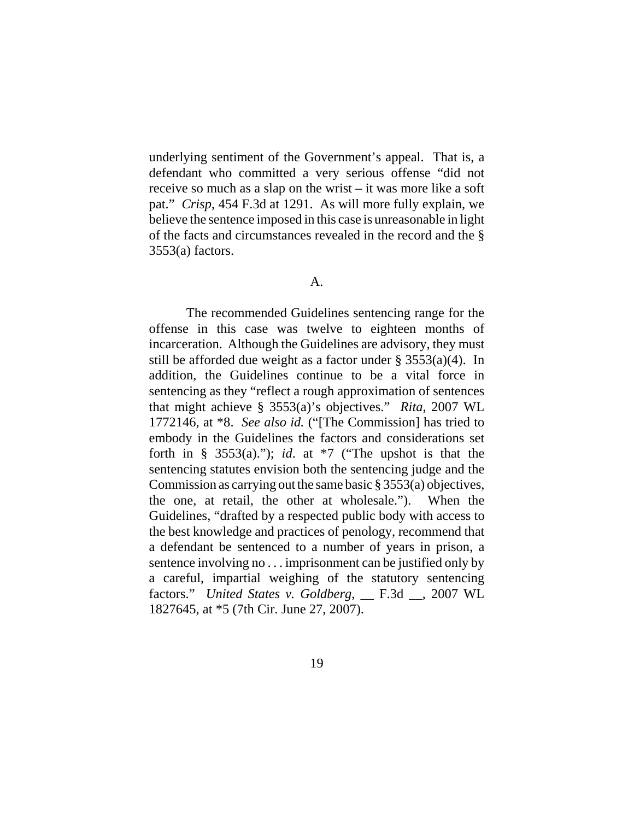underlying sentiment of the Government's appeal. That is, a defendant who committed a very serious offense "did not receive so much as a slap on the wrist – it was more like a soft pat." *Crisp*, 454 F.3d at 1291. As will more fully explain, we believe the sentence imposed in this case is unreasonable in light of the facts and circumstances revealed in the record and the § 3553(a) factors.

## A.

The recommended Guidelines sentencing range for the offense in this case was twelve to eighteen months of incarceration. Although the Guidelines are advisory, they must still be afforded due weight as a factor under  $\S$  3553(a)(4). In addition, the Guidelines continue to be a vital force in sentencing as they "reflect a rough approximation of sentences that might achieve § 3553(a)'s objectives." *Rita*, 2007 WL 1772146, at \*8. *See also id.* ("[The Commission] has tried to embody in the Guidelines the factors and considerations set forth in §  $3553(a)$ ."); *id*. at \*7 ("The upshot is that the sentencing statutes envision both the sentencing judge and the Commission as carrying out the same basic § 3553(a) objectives, the one, at retail, the other at wholesale."). When the Guidelines, "drafted by a respected public body with access to the best knowledge and practices of penology, recommend that a defendant be sentenced to a number of years in prison, a sentence involving no . . . imprisonment can be justified only by a careful, impartial weighing of the statutory sentencing factors." *United States v. Goldberg*, \_\_ F.3d \_\_, 2007 WL 1827645, at \*5 (7th Cir. June 27, 2007).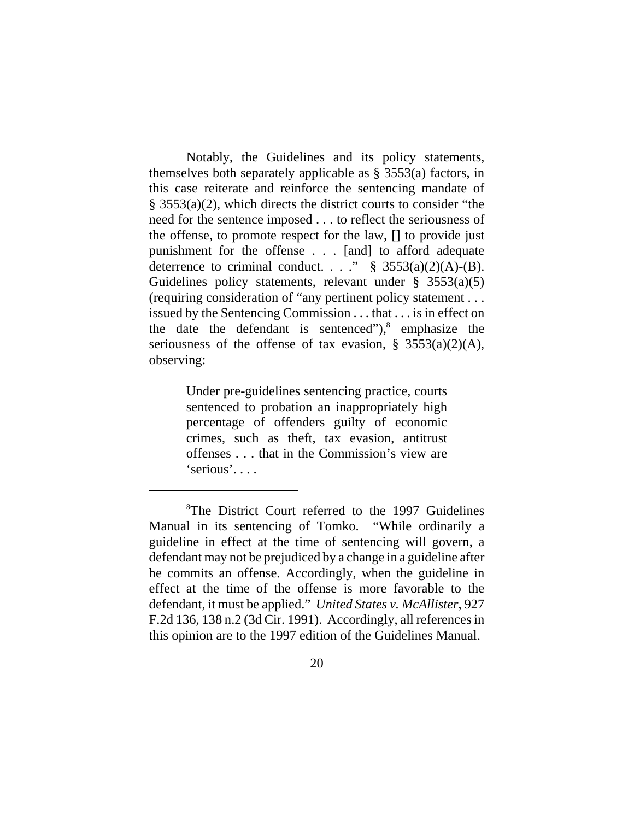Notably, the Guidelines and its policy statements, themselves both separately applicable as § 3553(a) factors, in this case reiterate and reinforce the sentencing mandate of § 3553(a)(2), which directs the district courts to consider "the need for the sentence imposed . . . to reflect the seriousness of the offense, to promote respect for the law, [] to provide just punishment for the offense . . . [and] to afford adequate deterrence to criminal conduct. . . . "  $\S$  3553(a)(2)(A)-(B). Guidelines policy statements, relevant under  $\S$  3553(a)(5) (requiring consideration of "any pertinent policy statement . . . issued by the Sentencing Commission . . . that . . . is in effect on the date the defendant is sentenced"), $8$  emphasize the seriousness of the offense of tax evasion,  $\S$  3553(a)(2)(A), observing:

> Under pre-guidelines sentencing practice, courts sentenced to probation an inappropriately high percentage of offenders guilty of economic crimes, such as theft, tax evasion, antitrust offenses . . . that in the Commission's view are 'serious'. . . .

<sup>&</sup>lt;sup>8</sup>The District Court referred to the 1997 Guidelines Manual in its sentencing of Tomko. "While ordinarily a guideline in effect at the time of sentencing will govern, a defendant may not be prejudiced by a change in a guideline after he commits an offense. Accordingly, when the guideline in effect at the time of the offense is more favorable to the defendant, it must be applied." *United States v. McAllister*, 927 F.2d 136, 138 n.2 (3d Cir. 1991). Accordingly, all references in this opinion are to the 1997 edition of the Guidelines Manual.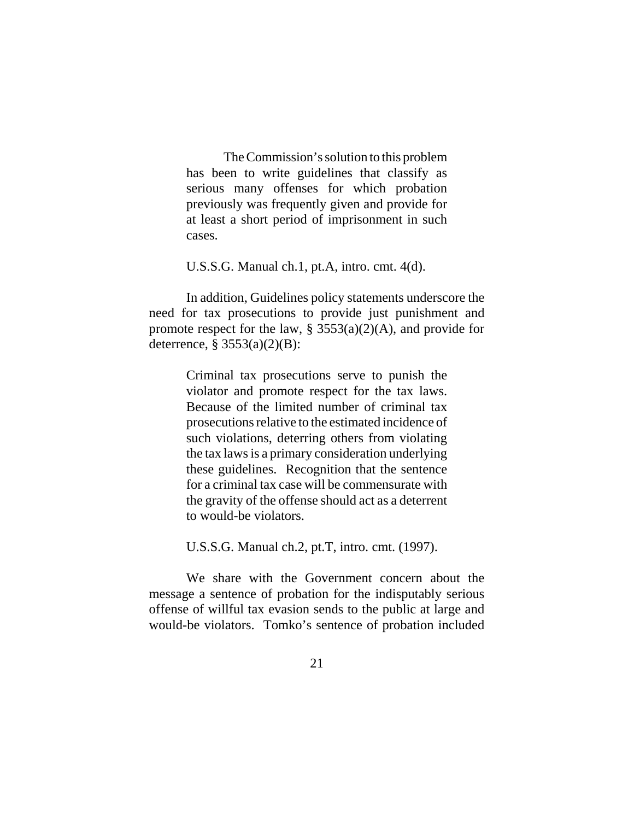The Commission's solution to this problem has been to write guidelines that classify as serious many offenses for which probation previously was frequently given and provide for at least a short period of imprisonment in such cases.

U.S.S.G. Manual ch.1, pt.A, intro. cmt. 4(d).

In addition, Guidelines policy statements underscore the need for tax prosecutions to provide just punishment and promote respect for the law,  $\S 3553(a)(2)(A)$ , and provide for deterrence, § 3553(a)(2)(B):

> Criminal tax prosecutions serve to punish the violator and promote respect for the tax laws. Because of the limited number of criminal tax prosecutions relative to the estimated incidence of such violations, deterring others from violating the tax laws is a primary consideration underlying these guidelines. Recognition that the sentence for a criminal tax case will be commensurate with the gravity of the offense should act as a deterrent to would-be violators.

U.S.S.G. Manual ch.2, pt.T, intro. cmt. (1997).

We share with the Government concern about the message a sentence of probation for the indisputably serious offense of willful tax evasion sends to the public at large and would-be violators. Tomko's sentence of probation included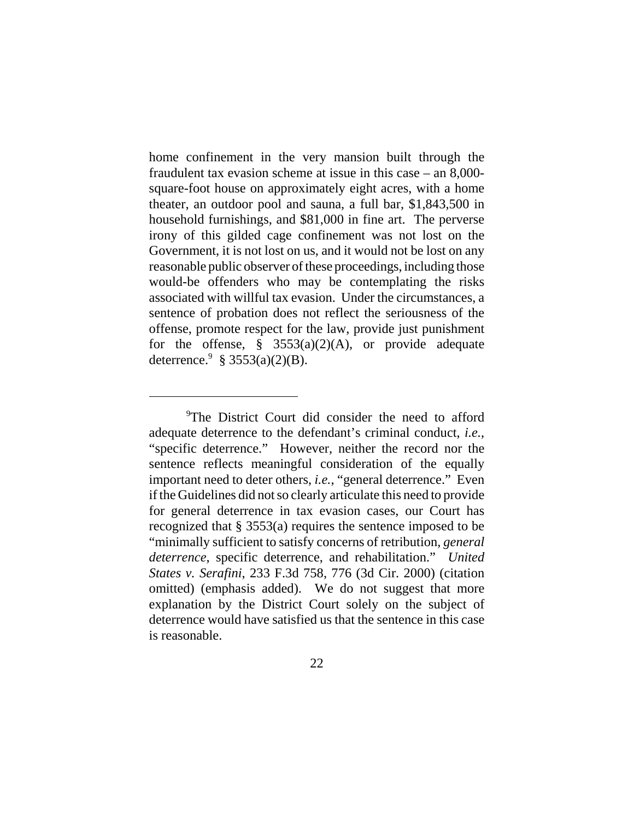home confinement in the very mansion built through the fraudulent tax evasion scheme at issue in this case – an 8,000 square-foot house on approximately eight acres, with a home theater, an outdoor pool and sauna, a full bar, \$1,843,500 in household furnishings, and \$81,000 in fine art. The perverse irony of this gilded cage confinement was not lost on the Government, it is not lost on us, and it would not be lost on any reasonable public observer of these proceedings, including those would-be offenders who may be contemplating the risks associated with willful tax evasion. Under the circumstances, a sentence of probation does not reflect the seriousness of the offense, promote respect for the law, provide just punishment for the offense,  $\S$  3553(a)(2)(A), or provide adequate deterrence.<sup>9</sup> § 3553(a)(2)(B).

<sup>&</sup>lt;sup>9</sup>The District Court did consider the need to afford adequate deterrence to the defendant's criminal conduct, *i.e.*, "specific deterrence." However, neither the record nor the sentence reflects meaningful consideration of the equally important need to deter others, *i.e.*, "general deterrence." Even if the Guidelines did not so clearly articulate this need to provide for general deterrence in tax evasion cases, our Court has recognized that § 3553(a) requires the sentence imposed to be "minimally sufficient to satisfy concerns of retribution, *general deterrence*, specific deterrence, and rehabilitation." *United States v. Serafini*, 233 F.3d 758, 776 (3d Cir. 2000) (citation omitted) (emphasis added). We do not suggest that more explanation by the District Court solely on the subject of deterrence would have satisfied us that the sentence in this case is reasonable.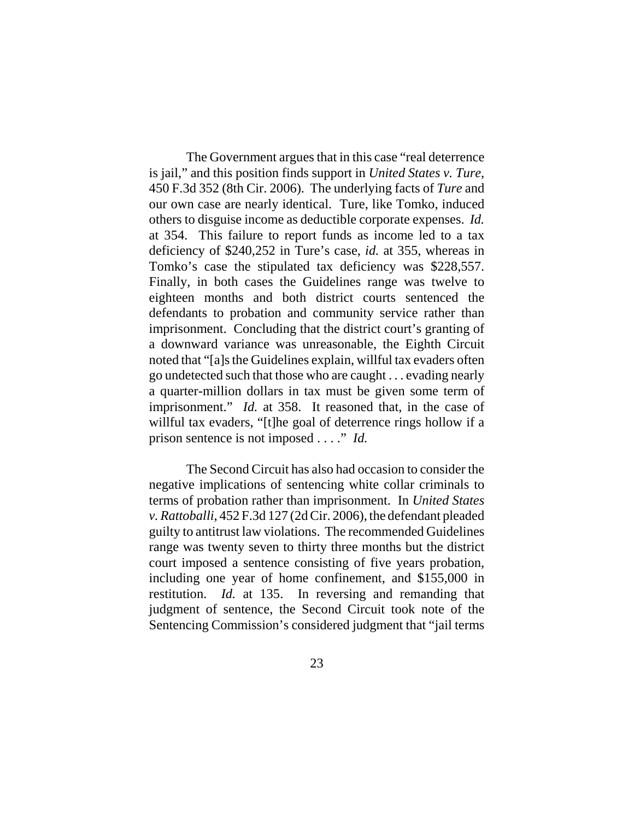The Government argues that in this case "real deterrence is jail," and this position finds support in *United States v. Ture*, 450 F.3d 352 (8th Cir. 2006). The underlying facts of *Ture* and our own case are nearly identical. Ture, like Tomko, induced others to disguise income as deductible corporate expenses. *Id.* at 354. This failure to report funds as income led to a tax deficiency of \$240,252 in Ture's case, *id.* at 355, whereas in Tomko's case the stipulated tax deficiency was \$228,557. Finally, in both cases the Guidelines range was twelve to eighteen months and both district courts sentenced the defendants to probation and community service rather than imprisonment. Concluding that the district court's granting of a downward variance was unreasonable, the Eighth Circuit noted that "[a]s the Guidelines explain, willful tax evaders often go undetected such that those who are caught . . . evading nearly a quarter-million dollars in tax must be given some term of imprisonment." *Id.* at 358. It reasoned that, in the case of willful tax evaders, "[t]he goal of deterrence rings hollow if a prison sentence is not imposed . . . ." *Id.*

The Second Circuit has also had occasion to consider the negative implications of sentencing white collar criminals to terms of probation rather than imprisonment. In *United States v. Rattoballi*, 452 F.3d 127 (2d Cir. 2006), the defendant pleaded guilty to antitrust law violations. The recommended Guidelines range was twenty seven to thirty three months but the district court imposed a sentence consisting of five years probation, including one year of home confinement, and \$155,000 in restitution. *Id.* at 135. In reversing and remanding that judgment of sentence, the Second Circuit took note of the Sentencing Commission's considered judgment that "jail terms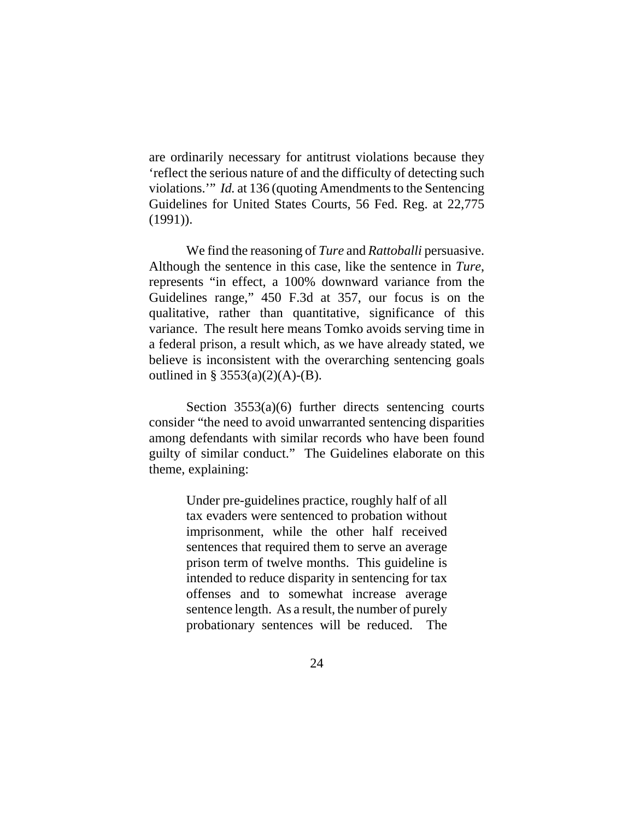are ordinarily necessary for antitrust violations because they 'reflect the serious nature of and the difficulty of detecting such violations.'" *Id.* at 136 (quoting Amendments to the Sentencing Guidelines for United States Courts, 56 Fed. Reg. at 22,775 (1991)).

We find the reasoning of *Ture* and *Rattoballi* persuasive. Although the sentence in this case, like the sentence in *Ture*, represents "in effect, a 100% downward variance from the Guidelines range," 450 F.3d at 357, our focus is on the qualitative, rather than quantitative, significance of this variance. The result here means Tomko avoids serving time in a federal prison, a result which, as we have already stated, we believe is inconsistent with the overarching sentencing goals outlined in §  $3553(a)(2)(A)$ -(B).

Section 3553(a)(6) further directs sentencing courts consider "the need to avoid unwarranted sentencing disparities among defendants with similar records who have been found guilty of similar conduct." The Guidelines elaborate on this theme, explaining:

> Under pre-guidelines practice, roughly half of all tax evaders were sentenced to probation without imprisonment, while the other half received sentences that required them to serve an average prison term of twelve months. This guideline is intended to reduce disparity in sentencing for tax offenses and to somewhat increase average sentence length. As a result, the number of purely probationary sentences will be reduced. The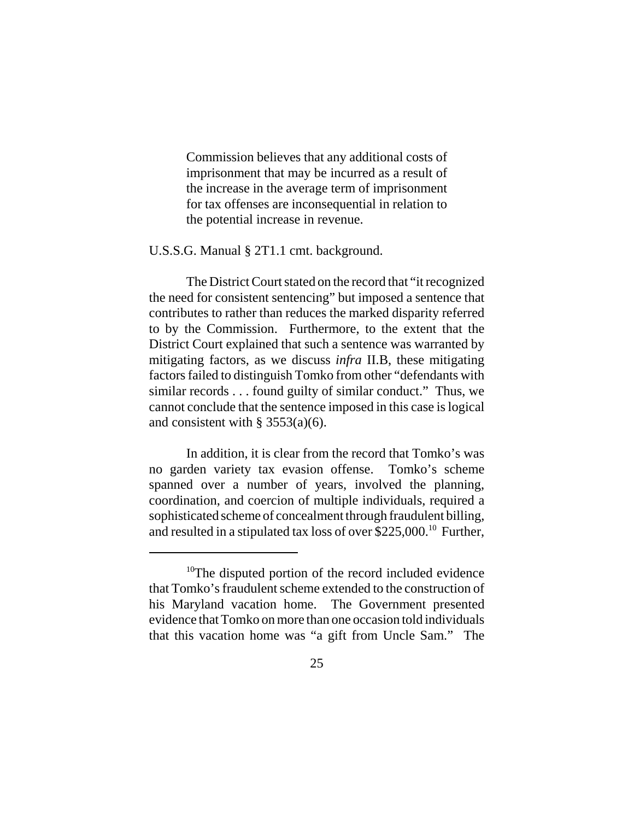Commission believes that any additional costs of imprisonment that may be incurred as a result of the increase in the average term of imprisonment for tax offenses are inconsequential in relation to the potential increase in revenue.

U.S.S.G. Manual § 2T1.1 cmt. background.

The District Court stated on the record that "it recognized the need for consistent sentencing" but imposed a sentence that contributes to rather than reduces the marked disparity referred to by the Commission. Furthermore, to the extent that the District Court explained that such a sentence was warranted by mitigating factors, as we discuss *infra* II.B, these mitigating factors failed to distinguish Tomko from other "defendants with similar records . . . found guilty of similar conduct." Thus, we cannot conclude that the sentence imposed in this case is logical and consistent with  $\S$  3553(a)(6).

In addition, it is clear from the record that Tomko's was no garden variety tax evasion offense. Tomko's scheme spanned over a number of years, involved the planning, coordination, and coercion of multiple individuals, required a sophisticated scheme of concealment through fraudulent billing, and resulted in a stipulated tax loss of over \$225,000.10 Further,

<sup>&</sup>lt;sup>10</sup>The disputed portion of the record included evidence that Tomko's fraudulent scheme extended to the construction of his Maryland vacation home. The Government presented evidence that Tomko on more than one occasion told individuals that this vacation home was "a gift from Uncle Sam." The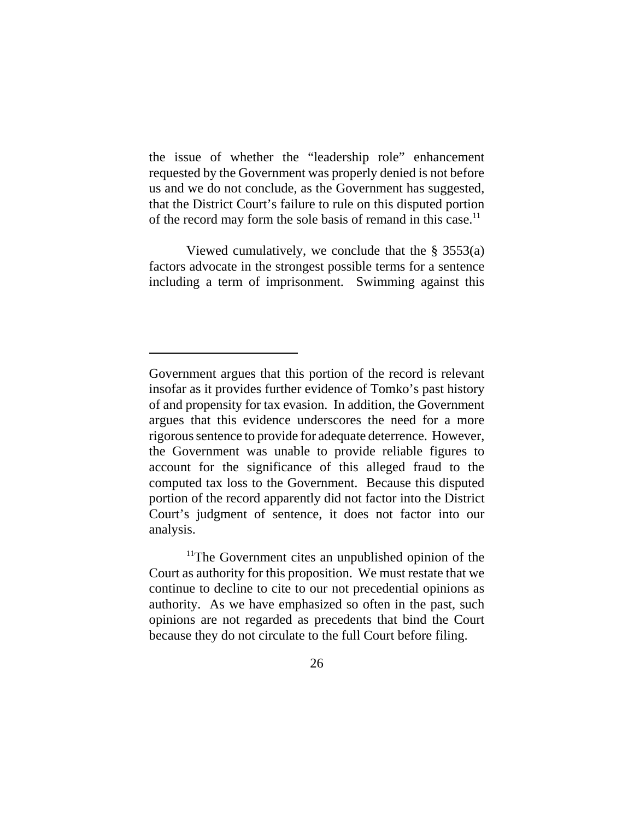the issue of whether the "leadership role" enhancement requested by the Government was properly denied is not before us and we do not conclude, as the Government has suggested, that the District Court's failure to rule on this disputed portion of the record may form the sole basis of remand in this case.<sup>11</sup>

Viewed cumulatively, we conclude that the § 3553(a) factors advocate in the strongest possible terms for a sentence including a term of imprisonment. Swimming against this

<sup>11</sup>The Government cites an unpublished opinion of the Court as authority for this proposition. We must restate that we continue to decline to cite to our not precedential opinions as authority. As we have emphasized so often in the past, such opinions are not regarded as precedents that bind the Court because they do not circulate to the full Court before filing.

Government argues that this portion of the record is relevant insofar as it provides further evidence of Tomko's past history of and propensity for tax evasion. In addition, the Government argues that this evidence underscores the need for a more rigorous sentence to provide for adequate deterrence. However, the Government was unable to provide reliable figures to account for the significance of this alleged fraud to the computed tax loss to the Government. Because this disputed portion of the record apparently did not factor into the District Court's judgment of sentence, it does not factor into our analysis.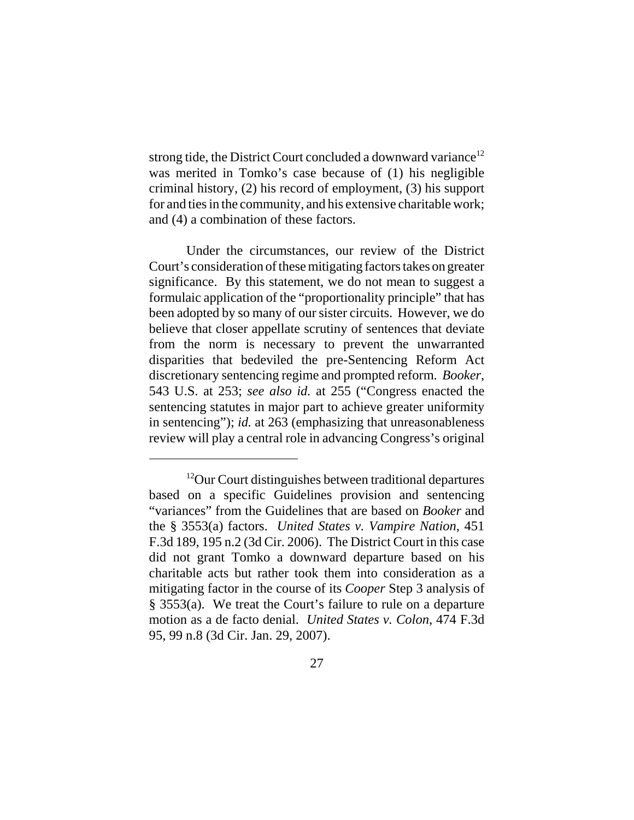strong tide, the District Court concluded a downward variance<sup>12</sup> was merited in Tomko's case because of (1) his negligible criminal history, (2) his record of employment, (3) his support for and ties in the community, and his extensive charitable work; and (4) a combination of these factors.

Under the circumstances, our review of the District Court's consideration of these mitigating factors takes on greater significance. By this statement, we do not mean to suggest a formulaic application of the "proportionality principle" that has been adopted by so many of our sister circuits. However, we do believe that closer appellate scrutiny of sentences that deviate from the norm is necessary to prevent the unwarranted disparities that bedeviled the pre-Sentencing Reform Act discretionary sentencing regime and prompted reform. *Booker*, 543 U.S. at 253; *see also id.* at 255 ("Congress enacted the sentencing statutes in major part to achieve greater uniformity in sentencing"); *id.* at 263 (emphasizing that unreasonableness review will play a central role in advancing Congress's original

<sup>&</sup>lt;sup>12</sup>Our Court distinguishes between traditional departures based on a specific Guidelines provision and sentencing "variances" from the Guidelines that are based on *Booker* and the § 3553(a) factors. *United States v. Vampire Nation*, 451 F.3d 189, 195 n.2 (3d Cir. 2006). The District Court in this case did not grant Tomko a downward departure based on his charitable acts but rather took them into consideration as a mitigating factor in the course of its *Cooper* Step 3 analysis of § 3553(a). We treat the Court's failure to rule on a departure motion as a de facto denial. *United States v. Colon*, 474 F.3d 95, 99 n.8 (3d Cir. Jan. 29, 2007).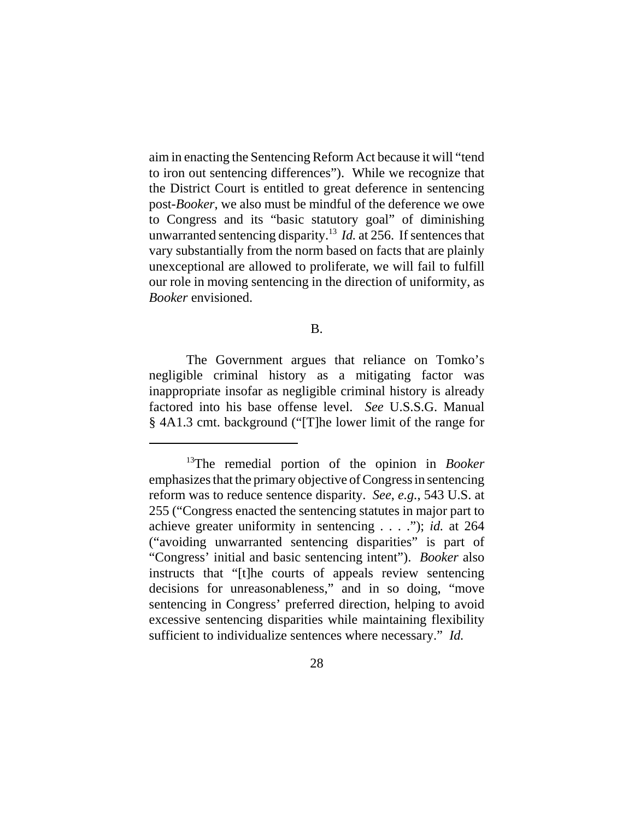aim in enacting the Sentencing Reform Act because it will "tend to iron out sentencing differences"). While we recognize that the District Court is entitled to great deference in sentencing post-*Booker*, we also must be mindful of the deference we owe to Congress and its "basic statutory goal" of diminishing unwarranted sentencing disparity.13 *Id.* at 256. If sentences that vary substantially from the norm based on facts that are plainly unexceptional are allowed to proliferate, we will fail to fulfill our role in moving sentencing in the direction of uniformity, as *Booker* envisioned.

### B.

The Government argues that reliance on Tomko's negligible criminal history as a mitigating factor was inappropriate insofar as negligible criminal history is already factored into his base offense level. *See* U.S.S.G. Manual § 4A1.3 cmt. background ("[T]he lower limit of the range for

<sup>13</sup>The remedial portion of the opinion in *Booker* emphasizes that the primary objective of Congress in sentencing reform was to reduce sentence disparity. *See*, *e.g.*, 543 U.S. at 255 ("Congress enacted the sentencing statutes in major part to achieve greater uniformity in sentencing . . . ."); *id.* at 264 ("avoiding unwarranted sentencing disparities" is part of "Congress' initial and basic sentencing intent"). *Booker* also instructs that "[t]he courts of appeals review sentencing decisions for unreasonableness," and in so doing, "move sentencing in Congress' preferred direction, helping to avoid excessive sentencing disparities while maintaining flexibility sufficient to individualize sentences where necessary." *Id.*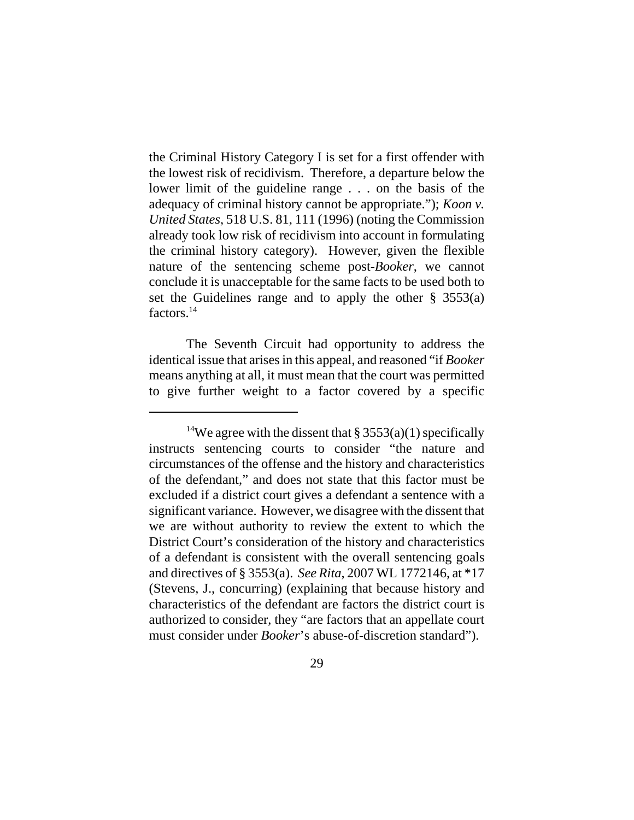the Criminal History Category I is set for a first offender with the lowest risk of recidivism. Therefore, a departure below the lower limit of the guideline range . . . on the basis of the adequacy of criminal history cannot be appropriate."); *Koon v. United States*, 518 U.S. 81, 111 (1996) (noting the Commission already took low risk of recidivism into account in formulating the criminal history category). However, given the flexible nature of the sentencing scheme post-*Booker*, we cannot conclude it is unacceptable for the same facts to be used both to set the Guidelines range and to apply the other § 3553(a) factors.<sup>14</sup>

The Seventh Circuit had opportunity to address the identical issue that arises in this appeal, and reasoned "if *Booker* means anything at all, it must mean that the court was permitted to give further weight to a factor covered by a specific

<sup>&</sup>lt;sup>14</sup>We agree with the dissent that  $\S 3553(a)(1)$  specifically instructs sentencing courts to consider "the nature and circumstances of the offense and the history and characteristics of the defendant," and does not state that this factor must be excluded if a district court gives a defendant a sentence with a significant variance. However, we disagree with the dissent that we are without authority to review the extent to which the District Court's consideration of the history and characteristics of a defendant is consistent with the overall sentencing goals and directives of § 3553(a). *See Rita*, 2007 WL 1772146, at \*17 (Stevens, J., concurring) (explaining that because history and characteristics of the defendant are factors the district court is authorized to consider, they "are factors that an appellate court must consider under *Booker*'s abuse-of-discretion standard").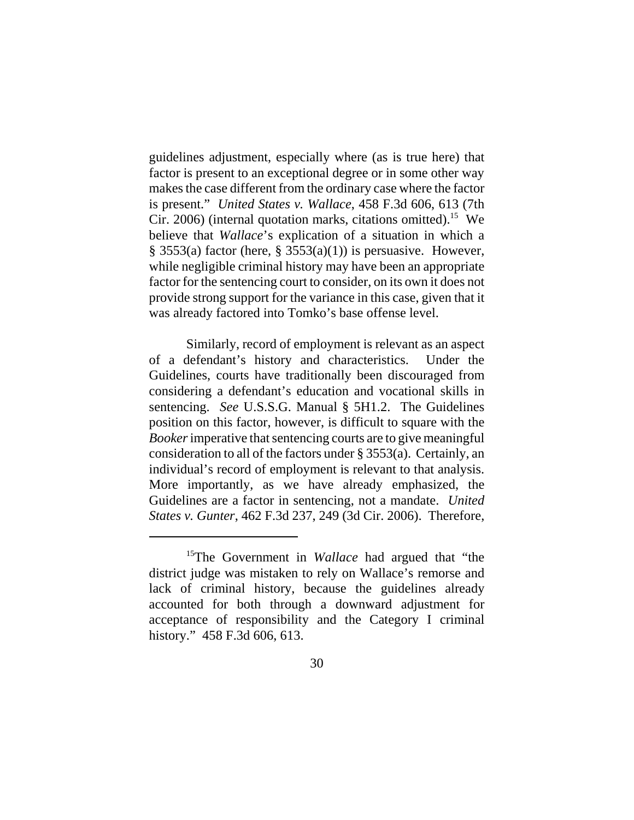guidelines adjustment, especially where (as is true here) that factor is present to an exceptional degree or in some other way makes the case different from the ordinary case where the factor is present." *United States v. Wallace*, 458 F.3d 606, 613 (7th Cir. 2006) (internal quotation marks, citations omitted).<sup>15</sup> We believe that *Wallace*'s explication of a situation in which a  $\S$  3553(a) factor (here,  $\S$  3553(a)(1)) is persuasive. However, while negligible criminal history may have been an appropriate factor for the sentencing court to consider, on its own it does not provide strong support for the variance in this case, given that it was already factored into Tomko's base offense level.

Similarly, record of employment is relevant as an aspect of a defendant's history and characteristics. Under the Guidelines, courts have traditionally been discouraged from considering a defendant's education and vocational skills in sentencing. *See* U.S.S.G. Manual § 5H1.2. The Guidelines position on this factor, however, is difficult to square with the *Booker* imperative that sentencing courts are to give meaningful consideration to all of the factors under § 3553(a). Certainly, an individual's record of employment is relevant to that analysis. More importantly, as we have already emphasized, the Guidelines are a factor in sentencing, not a mandate. *United States v. Gunter*, 462 F.3d 237, 249 (3d Cir. 2006). Therefore,

<sup>&</sup>lt;sup>15</sup>The Government in *Wallace* had argued that "the district judge was mistaken to rely on Wallace's remorse and lack of criminal history, because the guidelines already accounted for both through a downward adjustment for acceptance of responsibility and the Category I criminal history." 458 F.3d 606, 613.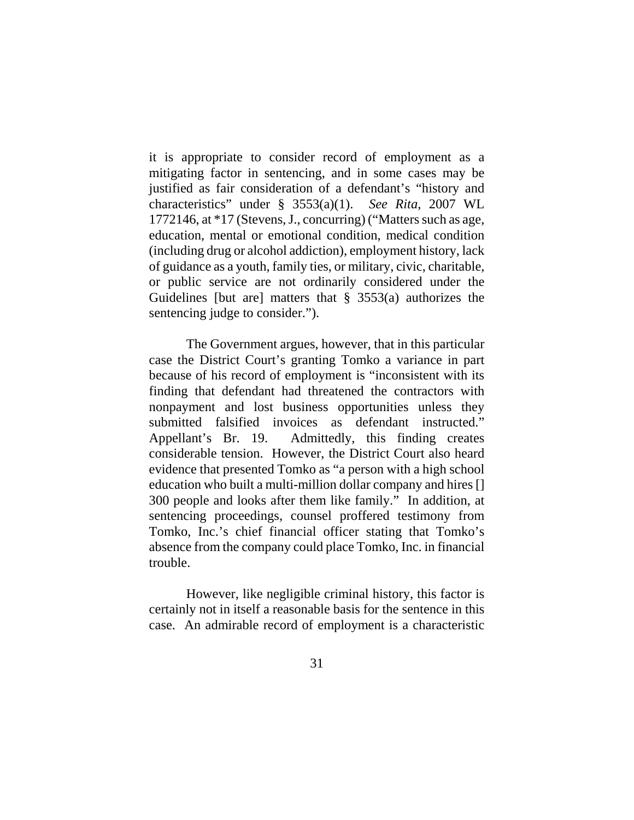it is appropriate to consider record of employment as a mitigating factor in sentencing, and in some cases may be justified as fair consideration of a defendant's "history and characteristics" under § 3553(a)(1). *See Rita*, 2007 WL 1772146, at \*17 (Stevens, J., concurring) ("Matters such as age, education, mental or emotional condition, medical condition (including drug or alcohol addiction), employment history, lack of guidance as a youth, family ties, or military, civic, charitable, or public service are not ordinarily considered under the Guidelines [but are] matters that § 3553(a) authorizes the sentencing judge to consider.").

The Government argues, however, that in this particular case the District Court's granting Tomko a variance in part because of his record of employment is "inconsistent with its finding that defendant had threatened the contractors with nonpayment and lost business opportunities unless they submitted falsified invoices as defendant instructed." Appellant's Br. 19. Admittedly, this finding creates considerable tension. However, the District Court also heard evidence that presented Tomko as "a person with a high school education who built a multi-million dollar company and hires [] 300 people and looks after them like family." In addition, at sentencing proceedings, counsel proffered testimony from Tomko, Inc.'s chief financial officer stating that Tomko's absence from the company could place Tomko, Inc. in financial trouble.

However, like negligible criminal history, this factor is certainly not in itself a reasonable basis for the sentence in this case. An admirable record of employment is a characteristic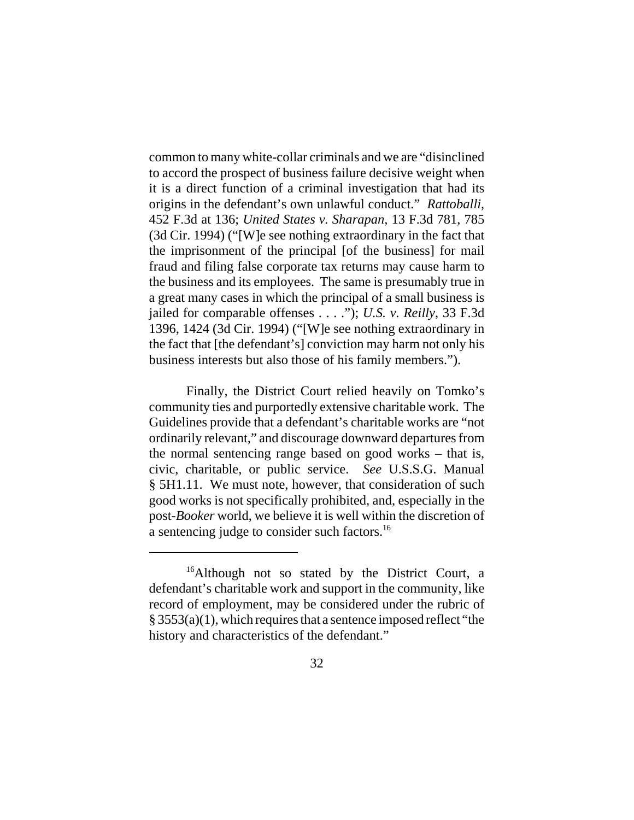common to many white-collar criminals and we are "disinclined to accord the prospect of business failure decisive weight when it is a direct function of a criminal investigation that had its origins in the defendant's own unlawful conduct." *Rattoballi*, 452 F.3d at 136; *United States v. Sharapan*, 13 F.3d 781, 785 (3d Cir. 1994) ("[W]e see nothing extraordinary in the fact that the imprisonment of the principal [of the business] for mail fraud and filing false corporate tax returns may cause harm to the business and its employees. The same is presumably true in a great many cases in which the principal of a small business is jailed for comparable offenses . . . ."); *U.S. v. Reilly*, 33 F.3d 1396, 1424 (3d Cir. 1994) ("[W]e see nothing extraordinary in the fact that [the defendant's] conviction may harm not only his business interests but also those of his family members.").

Finally, the District Court relied heavily on Tomko's community ties and purportedly extensive charitable work. The Guidelines provide that a defendant's charitable works are "not ordinarily relevant," and discourage downward departures from the normal sentencing range based on good works – that is, civic, charitable, or public service. *See* U.S.S.G. Manual § 5H1.11. We must note, however, that consideration of such good works is not specifically prohibited, and, especially in the post-*Booker* world, we believe it is well within the discretion of a sentencing judge to consider such factors.16

<sup>&</sup>lt;sup>16</sup>Although not so stated by the District Court, a defendant's charitable work and support in the community, like record of employment, may be considered under the rubric of § 3553(a)(1), which requires that a sentence imposed reflect "the history and characteristics of the defendant."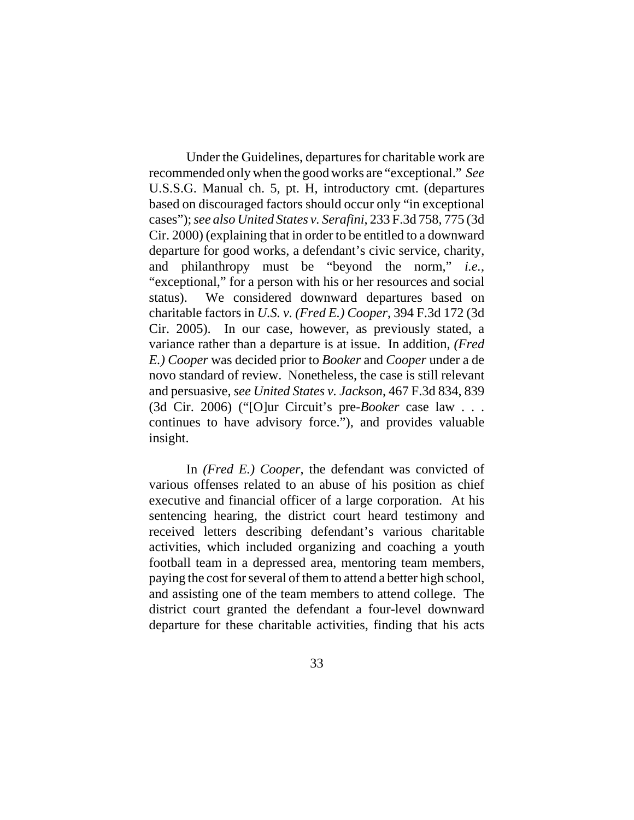Under the Guidelines, departures for charitable work are recommended only when the good works are "exceptional." *See* U.S.S.G. Manual ch. 5, pt. H, introductory cmt. (departures based on discouraged factors should occur only "in exceptional cases"); *see also United States v. Serafini*, 233 F.3d 758, 775 (3d Cir. 2000) (explaining that in order to be entitled to a downward departure for good works, a defendant's civic service, charity, and philanthropy must be "beyond the norm," *i.e.*, "exceptional," for a person with his or her resources and social status). We considered downward departures based on charitable factors in *U.S. v. (Fred E.) Cooper*, 394 F.3d 172 (3d Cir. 2005). In our case, however, as previously stated, a variance rather than a departure is at issue. In addition, *(Fred E.) Cooper* was decided prior to *Booker* and *Cooper* under a de novo standard of review. Nonetheless, the case is still relevant and persuasive, *see United States v. Jackson*, 467 F.3d 834, 839 (3d Cir. 2006) ("[O]ur Circuit's pre-*Booker* case law . . . continues to have advisory force."), and provides valuable insight.

In *(Fred E.) Cooper*, the defendant was convicted of various offenses related to an abuse of his position as chief executive and financial officer of a large corporation. At his sentencing hearing, the district court heard testimony and received letters describing defendant's various charitable activities, which included organizing and coaching a youth football team in a depressed area, mentoring team members, paying the cost for several of them to attend a better high school, and assisting one of the team members to attend college. The district court granted the defendant a four-level downward departure for these charitable activities, finding that his acts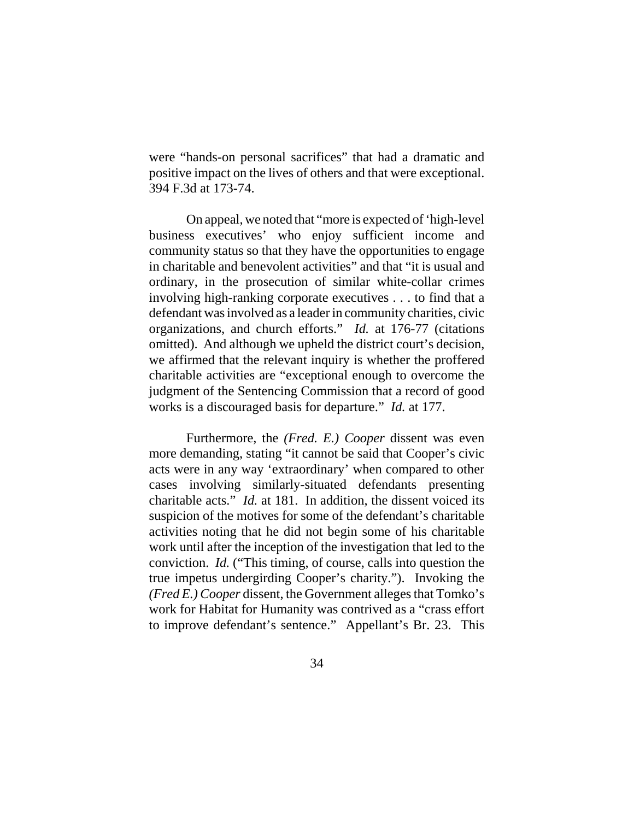were "hands-on personal sacrifices" that had a dramatic and positive impact on the lives of others and that were exceptional. 394 F.3d at 173-74.

On appeal, we noted that "more is expected of 'high-level business executives' who enjoy sufficient income and community status so that they have the opportunities to engage in charitable and benevolent activities" and that "it is usual and ordinary, in the prosecution of similar white-collar crimes involving high-ranking corporate executives . . . to find that a defendant was involved as a leader in community charities, civic organizations, and church efforts." *Id.* at 176-77 (citations omitted). And although we upheld the district court's decision, we affirmed that the relevant inquiry is whether the proffered charitable activities are "exceptional enough to overcome the judgment of the Sentencing Commission that a record of good works is a discouraged basis for departure." *Id.* at 177.

Furthermore, the *(Fred. E.) Cooper* dissent was even more demanding, stating "it cannot be said that Cooper's civic acts were in any way 'extraordinary' when compared to other cases involving similarly-situated defendants presenting charitable acts." *Id.* at 181. In addition, the dissent voiced its suspicion of the motives for some of the defendant's charitable activities noting that he did not begin some of his charitable work until after the inception of the investigation that led to the conviction. *Id.* ("This timing, of course, calls into question the true impetus undergirding Cooper's charity."). Invoking the *(Fred E.) Cooper* dissent, the Government alleges that Tomko's work for Habitat for Humanity was contrived as a "crass effort to improve defendant's sentence." Appellant's Br. 23. This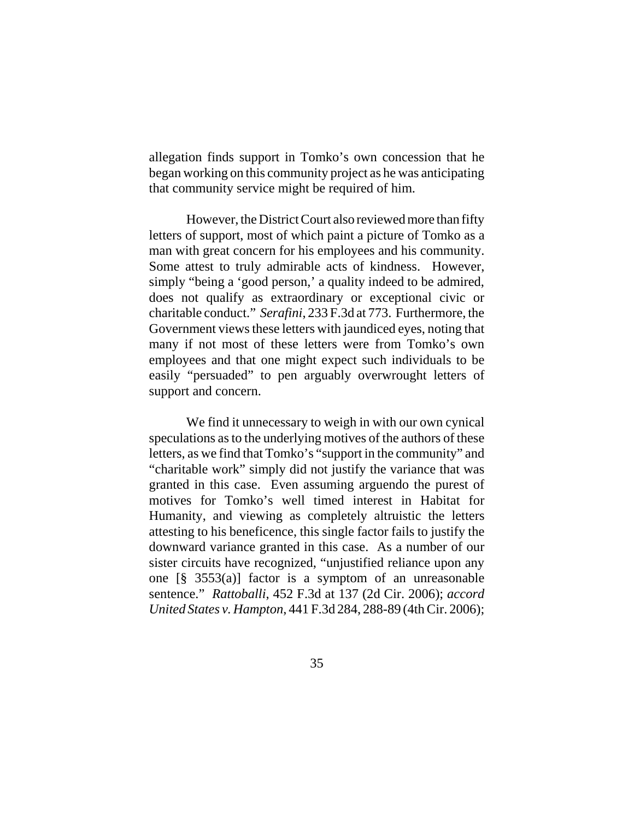allegation finds support in Tomko's own concession that he began working on this community project as he was anticipating that community service might be required of him.

However, the District Court also reviewed more than fifty letters of support, most of which paint a picture of Tomko as a man with great concern for his employees and his community. Some attest to truly admirable acts of kindness. However, simply "being a 'good person,' a quality indeed to be admired, does not qualify as extraordinary or exceptional civic or charitable conduct." *Serafini*, 233 F.3d at 773. Furthermore, the Government views these letters with jaundiced eyes, noting that many if not most of these letters were from Tomko's own employees and that one might expect such individuals to be easily "persuaded" to pen arguably overwrought letters of support and concern.

We find it unnecessary to weigh in with our own cynical speculations as to the underlying motives of the authors of these letters, as we find that Tomko's "support in the community" and "charitable work" simply did not justify the variance that was granted in this case. Even assuming arguendo the purest of motives for Tomko's well timed interest in Habitat for Humanity, and viewing as completely altruistic the letters attesting to his beneficence, this single factor fails to justify the downward variance granted in this case. As a number of our sister circuits have recognized, "unjustified reliance upon any one [§ 3553(a)] factor is a symptom of an unreasonable sentence." *Rattoballi*, 452 F.3d at 137 (2d Cir. 2006); *accord United States v. Hampton*, 441 F.3d 284, 288-89 (4th Cir. 2006);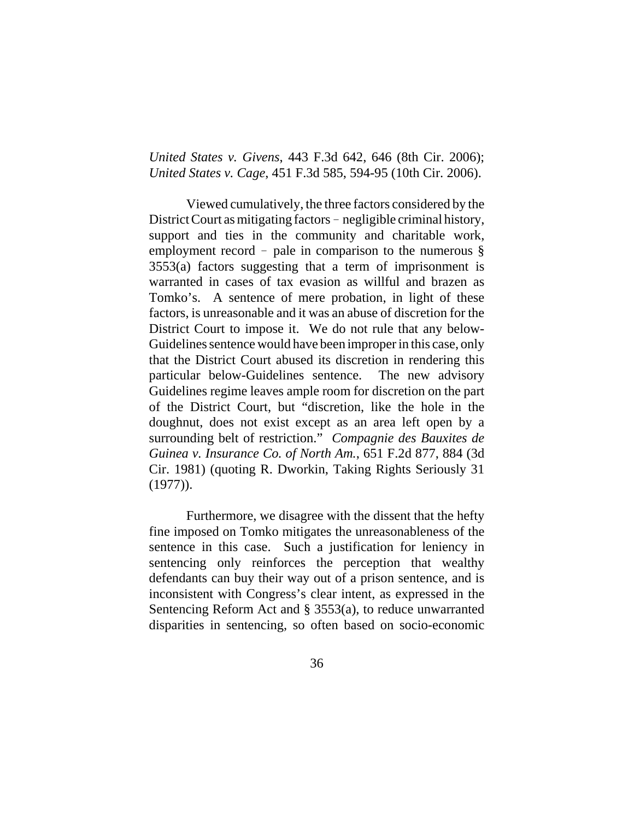*United States v. Givens*, 443 F.3d 642, 646 (8th Cir. 2006); *United States v. Cage*, 451 F.3d 585, 594-95 (10th Cir. 2006).

Viewed cumulatively, the three factors considered by the District Court as mitigating factors - negligible criminal history, support and ties in the community and charitable work, employment record - pale in comparison to the numerous  $\S$ 3553(a) factors suggesting that a term of imprisonment is warranted in cases of tax evasion as willful and brazen as Tomko's. A sentence of mere probation, in light of these factors, is unreasonable and it was an abuse of discretion for the District Court to impose it. We do not rule that any below-Guidelines sentence would have been improper in this case, only that the District Court abused its discretion in rendering this particular below-Guidelines sentence. The new advisory Guidelines regime leaves ample room for discretion on the part of the District Court, but "discretion, like the hole in the doughnut, does not exist except as an area left open by a surrounding belt of restriction." *Compagnie des Bauxites de Guinea v. Insurance Co. of North Am.*, 651 F.2d 877, 884 (3d Cir. 1981) (quoting R. Dworkin, Taking Rights Seriously 31 (1977)).

Furthermore, we disagree with the dissent that the hefty fine imposed on Tomko mitigates the unreasonableness of the sentence in this case. Such a justification for leniency in sentencing only reinforces the perception that wealthy defendants can buy their way out of a prison sentence, and is inconsistent with Congress's clear intent, as expressed in the Sentencing Reform Act and § 3553(a), to reduce unwarranted disparities in sentencing, so often based on socio-economic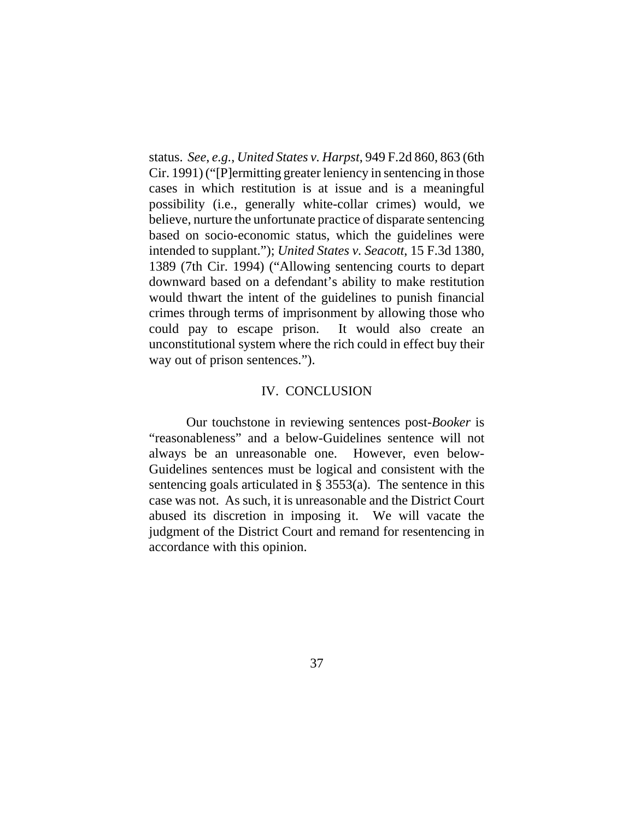status. *See*, *e.g.*, *United States v. Harpst*, 949 F.2d 860, 863 (6th Cir. 1991) ("[P]ermitting greater leniency in sentencing in those cases in which restitution is at issue and is a meaningful possibility (i.e., generally white-collar crimes) would, we believe, nurture the unfortunate practice of disparate sentencing based on socio-economic status, which the guidelines were intended to supplant."); *United States v. Seacott*, 15 F.3d 1380, 1389 (7th Cir. 1994) ("Allowing sentencing courts to depart downward based on a defendant's ability to make restitution would thwart the intent of the guidelines to punish financial crimes through terms of imprisonment by allowing those who could pay to escape prison. It would also create an unconstitutional system where the rich could in effect buy their way out of prison sentences.").

#### IV. CONCLUSION

Our touchstone in reviewing sentences post-*Booker* is "reasonableness" and a below-Guidelines sentence will not always be an unreasonable one. However, even below-Guidelines sentences must be logical and consistent with the sentencing goals articulated in § 3553(a). The sentence in this case was not. As such, it is unreasonable and the District Court abused its discretion in imposing it. We will vacate the judgment of the District Court and remand for resentencing in accordance with this opinion.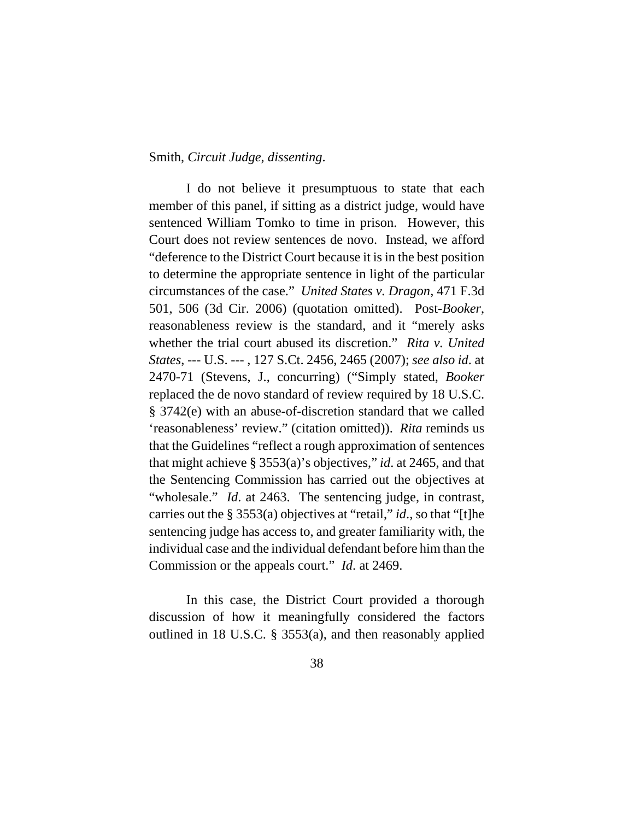# Smith, *Circuit Judge*, *dissenting*.

I do not believe it presumptuous to state that each member of this panel, if sitting as a district judge, would have sentenced William Tomko to time in prison. However, this Court does not review sentences de novo. Instead, we afford "deference to the District Court because it is in the best position to determine the appropriate sentence in light of the particular circumstances of the case." *United States v. Dragon*, 471 F.3d 501, 506 (3d Cir. 2006) (quotation omitted). Post-*Booker*, reasonableness review is the standard, and it "merely asks whether the trial court abused its discretion." *Rita v. United States*, --- U.S. --- , 127 S.Ct. 2456, 2465 (2007); *see also id*. at 2470-71 (Stevens, J., concurring) ("Simply stated, *Booker* replaced the de novo standard of review required by 18 U.S.C. § 3742(e) with an abuse-of-discretion standard that we called 'reasonableness' review." (citation omitted)). *Rita* reminds us that the Guidelines "reflect a rough approximation of sentences that might achieve § 3553(a)'s objectives," *id*. at 2465, and that the Sentencing Commission has carried out the objectives at "wholesale." *Id.* at 2463. The sentencing judge, in contrast, carries out the § 3553(a) objectives at "retail," *id*., so that "[t]he sentencing judge has access to, and greater familiarity with, the individual case and the individual defendant before him than the Commission or the appeals court." *Id*. at 2469.

In this case, the District Court provided a thorough discussion of how it meaningfully considered the factors outlined in 18 U.S.C. § 3553(a), and then reasonably applied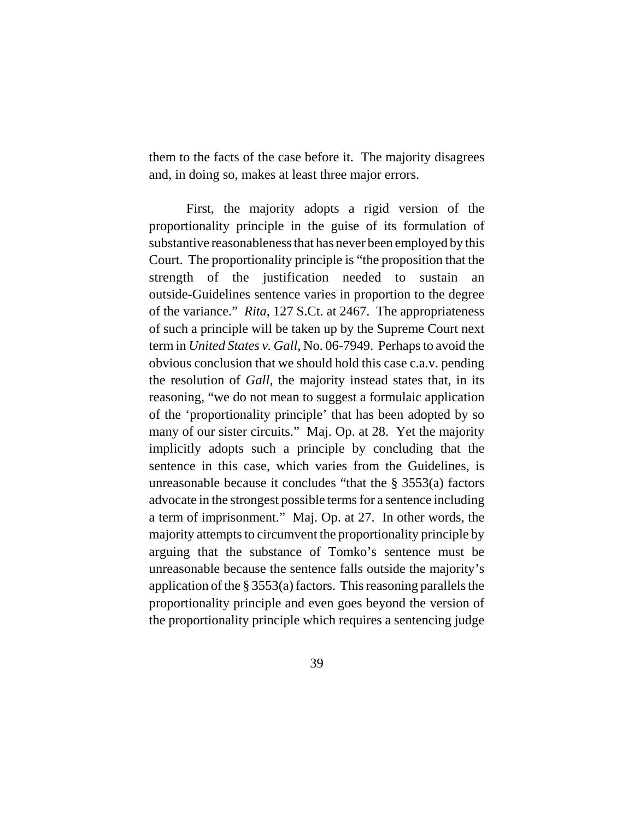them to the facts of the case before it. The majority disagrees and, in doing so, makes at least three major errors.

First, the majority adopts a rigid version of the proportionality principle in the guise of its formulation of substantive reasonableness that has never been employed by this Court. The proportionality principle is "the proposition that the strength of the justification needed to sustain an outside-Guidelines sentence varies in proportion to the degree of the variance." *Rita*, 127 S.Ct. at 2467. The appropriateness of such a principle will be taken up by the Supreme Court next term in *United States v. Gall*, No. 06-7949. Perhaps to avoid the obvious conclusion that we should hold this case c.a.v. pending the resolution of *Gall*, the majority instead states that, in its reasoning, "we do not mean to suggest a formulaic application of the 'proportionality principle' that has been adopted by so many of our sister circuits." Maj. Op. at 28. Yet the majority implicitly adopts such a principle by concluding that the sentence in this case, which varies from the Guidelines, is unreasonable because it concludes "that the § 3553(a) factors advocate in the strongest possible terms for a sentence including a term of imprisonment." Maj. Op. at 27. In other words, the majority attempts to circumvent the proportionality principle by arguing that the substance of Tomko's sentence must be unreasonable because the sentence falls outside the majority's application of the § 3553(a) factors. This reasoning parallels the proportionality principle and even goes beyond the version of the proportionality principle which requires a sentencing judge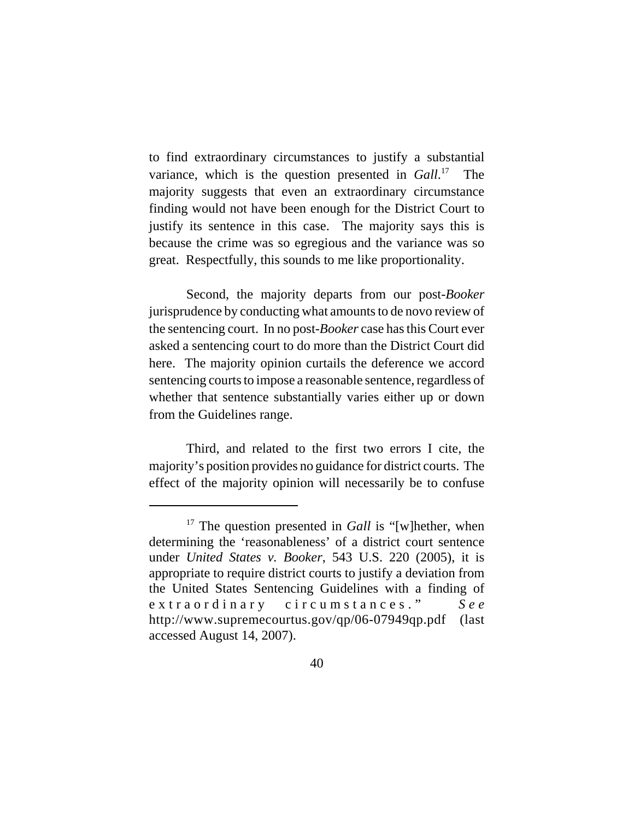to find extraordinary circumstances to justify a substantial variance, which is the question presented in *Gall*. 17 The majority suggests that even an extraordinary circumstance finding would not have been enough for the District Court to justify its sentence in this case. The majority says this is because the crime was so egregious and the variance was so great. Respectfully, this sounds to me like proportionality.

Second, the majority departs from our post-*Booker* jurisprudence by conducting what amounts to de novo review of the sentencing court. In no post-*Booker* case has this Court ever asked a sentencing court to do more than the District Court did here. The majority opinion curtails the deference we accord sentencing courts to impose a reasonable sentence, regardless of whether that sentence substantially varies either up or down from the Guidelines range.

Third, and related to the first two errors I cite, the majority's position provides no guidance for district courts. The effect of the majority opinion will necessarily be to confuse

<sup>&</sup>lt;sup>17</sup> The question presented in *Gall* is "[w]hether, when determining the 'reasonableness' of a district court sentence under *United States v. Booker*, 543 U.S. 220 (2005), it is appropriate to require district courts to justify a deviation from the United States Sentencing Guidelines with a finding of extraordinary circumstances." *See* http://www.supremecourtus.gov/qp/06-07949qp.pdf (last accessed August 14, 2007).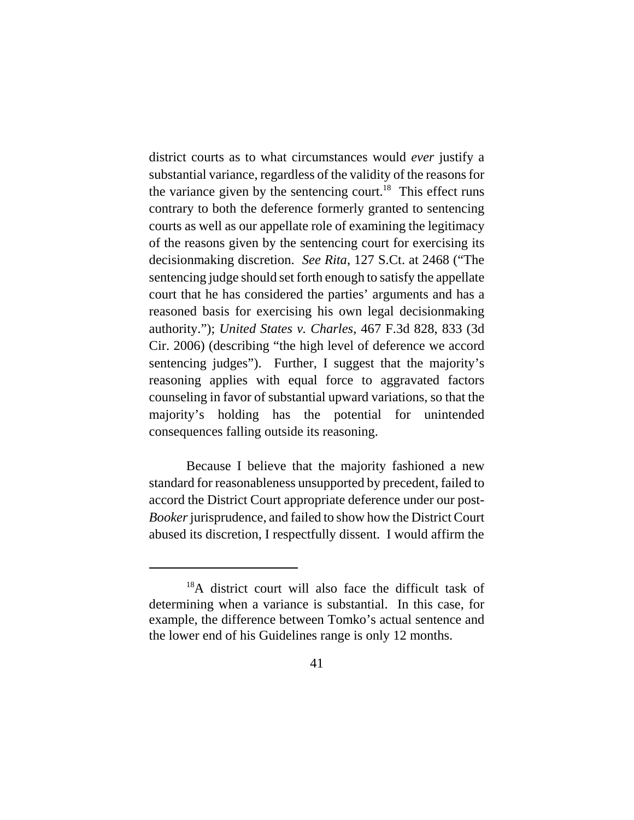district courts as to what circumstances would *ever* justify a substantial variance, regardless of the validity of the reasons for the variance given by the sentencing court.<sup>18</sup> This effect runs contrary to both the deference formerly granted to sentencing courts as well as our appellate role of examining the legitimacy of the reasons given by the sentencing court for exercising its decisionmaking discretion. *See Rita*, 127 S.Ct. at 2468 ("The sentencing judge should set forth enough to satisfy the appellate court that he has considered the parties' arguments and has a reasoned basis for exercising his own legal decisionmaking authority."); *United States v. Charles*, 467 F.3d 828, 833 (3d Cir. 2006) (describing "the high level of deference we accord sentencing judges"). Further, I suggest that the majority's reasoning applies with equal force to aggravated factors counseling in favor of substantial upward variations, so that the majority's holding has the potential for unintended consequences falling outside its reasoning.

Because I believe that the majority fashioned a new standard for reasonableness unsupported by precedent, failed to accord the District Court appropriate deference under our post-*Booker* jurisprudence, and failed to show how the District Court abused its discretion, I respectfully dissent. I would affirm the

<sup>18</sup>A district court will also face the difficult task of determining when a variance is substantial. In this case, for example, the difference between Tomko's actual sentence and the lower end of his Guidelines range is only 12 months.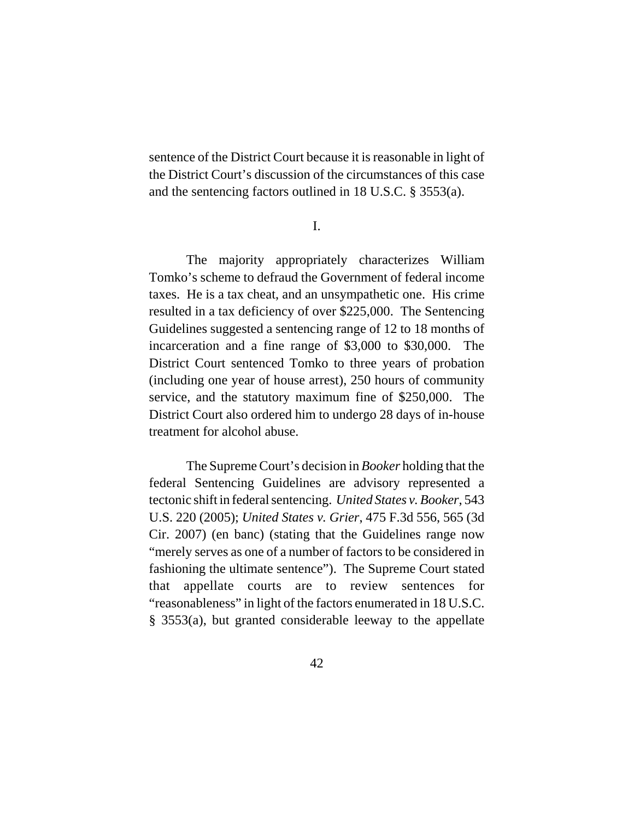sentence of the District Court because it is reasonable in light of the District Court's discussion of the circumstances of this case and the sentencing factors outlined in 18 U.S.C. § 3553(a).

I.

The majority appropriately characterizes William Tomko's scheme to defraud the Government of federal income taxes. He is a tax cheat, and an unsympathetic one. His crime resulted in a tax deficiency of over \$225,000. The Sentencing Guidelines suggested a sentencing range of 12 to 18 months of incarceration and a fine range of \$3,000 to \$30,000. The District Court sentenced Tomko to three years of probation (including one year of house arrest), 250 hours of community service, and the statutory maximum fine of \$250,000. The District Court also ordered him to undergo 28 days of in-house treatment for alcohol abuse.

The Supreme Court's decision in *Booker* holding that the federal Sentencing Guidelines are advisory represented a tectonic shift in federal sentencing. *United States v. Booker*, 543 U.S. 220 (2005); *United States v. Grier*, 475 F.3d 556, 565 (3d Cir. 2007) (en banc) (stating that the Guidelines range now "merely serves as one of a number of factors to be considered in fashioning the ultimate sentence"). The Supreme Court stated that appellate courts are to review sentences for "reasonableness" in light of the factors enumerated in 18 U.S.C. § 3553(a), but granted considerable leeway to the appellate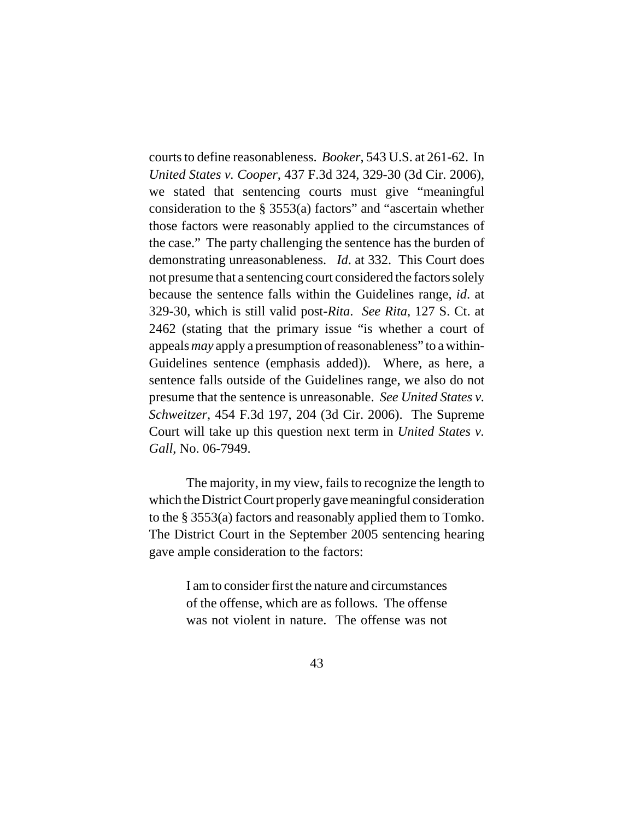courts to define reasonableness. *Booker*, 543 U.S. at 261-62. In *United States v. Cooper*, 437 F.3d 324, 329-30 (3d Cir. 2006), we stated that sentencing courts must give "meaningful consideration to the § 3553(a) factors" and "ascertain whether those factors were reasonably applied to the circumstances of the case." The party challenging the sentence has the burden of demonstrating unreasonableness. *Id*. at 332. This Court does not presume that a sentencing court considered the factors solely because the sentence falls within the Guidelines range, *id*. at 329-30, which is still valid post-*Rita*. *See Rita*, 127 S. Ct. at 2462 (stating that the primary issue "is whether a court of appeals *may* apply a presumption of reasonableness" to a within-Guidelines sentence (emphasis added)). Where, as here, a sentence falls outside of the Guidelines range, we also do not presume that the sentence is unreasonable. *See United States v. Schweitzer*, 454 F.3d 197, 204 (3d Cir. 2006). The Supreme Court will take up this question next term in *United States v. Gall*, No. 06-7949.

The majority, in my view, fails to recognize the length to which the District Court properly gave meaningful consideration to the § 3553(a) factors and reasonably applied them to Tomko. The District Court in the September 2005 sentencing hearing gave ample consideration to the factors:

> I am to consider first the nature and circumstances of the offense, which are as follows. The offense was not violent in nature. The offense was not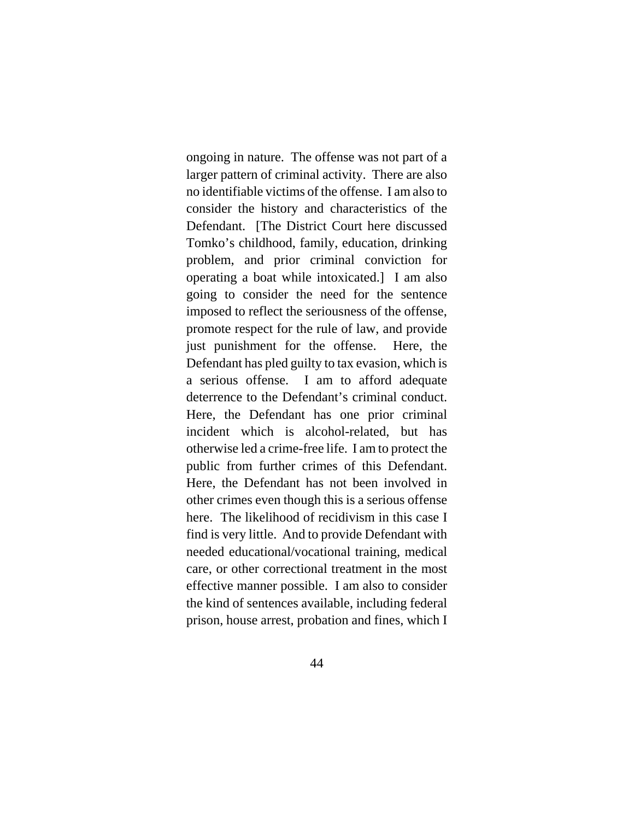ongoing in nature. The offense was not part of a larger pattern of criminal activity. There are also no identifiable victims of the offense. I am also to consider the history and characteristics of the Defendant. [The District Court here discussed Tomko's childhood, family, education, drinking problem, and prior criminal conviction for operating a boat while intoxicated.] I am also going to consider the need for the sentence imposed to reflect the seriousness of the offense, promote respect for the rule of law, and provide just punishment for the offense. Here, the Defendant has pled guilty to tax evasion, which is a serious offense. I am to afford adequate deterrence to the Defendant's criminal conduct. Here, the Defendant has one prior criminal incident which is alcohol-related, but has otherwise led a crime-free life. I am to protect the public from further crimes of this Defendant. Here, the Defendant has not been involved in other crimes even though this is a serious offense here. The likelihood of recidivism in this case I find is very little. And to provide Defendant with needed educational/vocational training, medical care, or other correctional treatment in the most effective manner possible. I am also to consider the kind of sentences available, including federal prison, house arrest, probation and fines, which I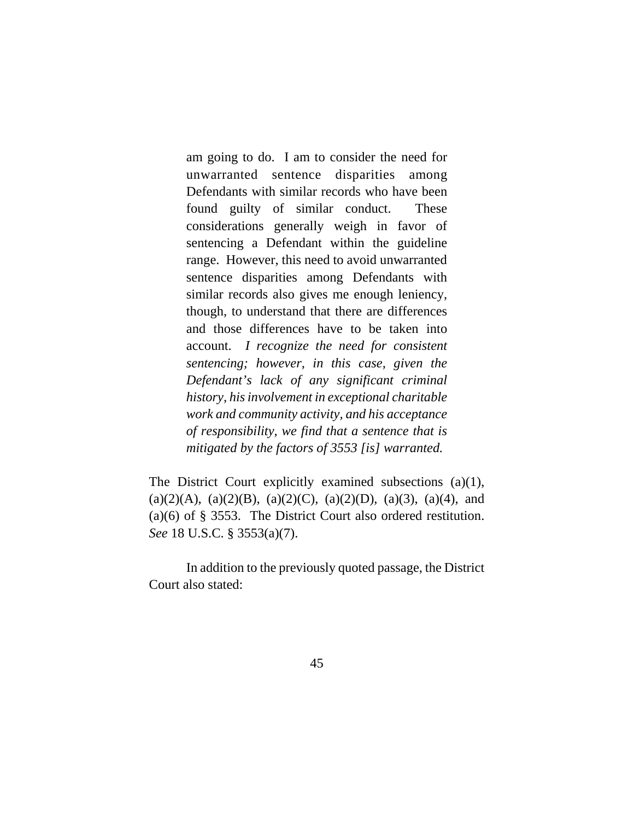am going to do. I am to consider the need for unwarranted sentence disparities among Defendants with similar records who have been found guilty of similar conduct. These considerations generally weigh in favor of sentencing a Defendant within the guideline range. However, this need to avoid unwarranted sentence disparities among Defendants with similar records also gives me enough leniency, though, to understand that there are differences and those differences have to be taken into account. *I recognize the need for consistent sentencing; however, in this case, given the Defendant's lack of any significant criminal history, his involvement in exceptional charitable work and community activity, and his acceptance of responsibility, we find that a sentence that is mitigated by the factors of 3553 [is] warranted.*

The District Court explicitly examined subsections (a)(1),  $(a)(2)(A), (a)(2)(B), (a)(2)(C), (a)(2)(D), (a)(3), (a)(4),$  and (a)(6) of § 3553. The District Court also ordered restitution. *See* 18 U.S.C. § 3553(a)(7).

In addition to the previously quoted passage, the District Court also stated: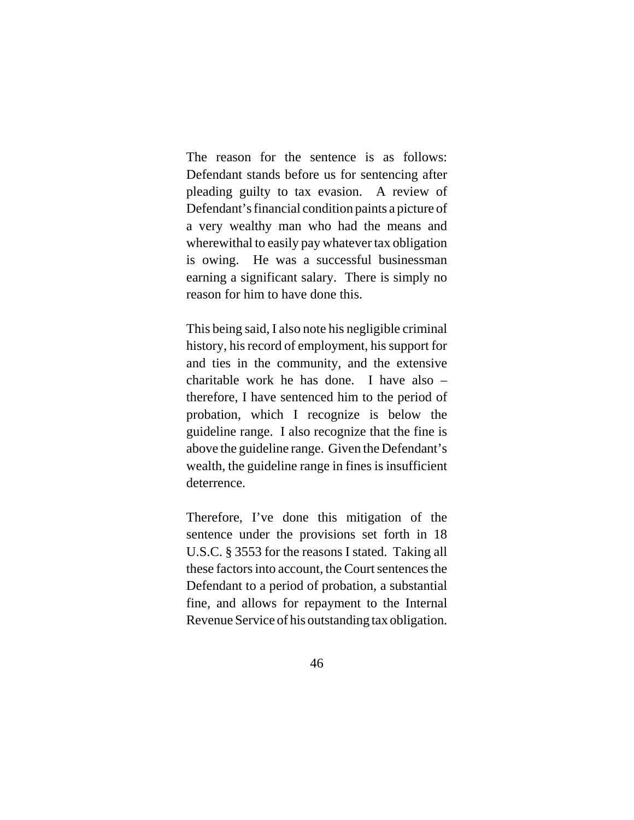The reason for the sentence is as follows: Defendant stands before us for sentencing after pleading guilty to tax evasion. A review of Defendant's financial condition paints a picture of a very wealthy man who had the means and wherewithal to easily pay whatever tax obligation is owing. He was a successful businessman earning a significant salary. There is simply no reason for him to have done this.

This being said, I also note his negligible criminal history, his record of employment, his support for and ties in the community, and the extensive charitable work he has done. I have also – therefore, I have sentenced him to the period of probation, which I recognize is below the guideline range. I also recognize that the fine is above the guideline range. Given the Defendant's wealth, the guideline range in fines is insufficient deterrence.

Therefore, I've done this mitigation of the sentence under the provisions set forth in 18 U.S.C. § 3553 for the reasons I stated. Taking all these factors into account, the Court sentences the Defendant to a period of probation, a substantial fine, and allows for repayment to the Internal Revenue Service of his outstanding tax obligation.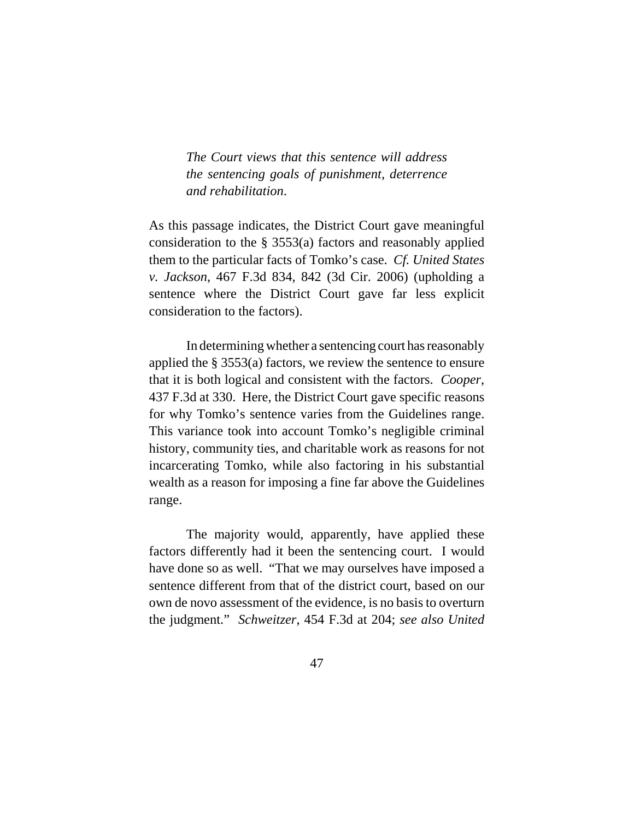*The Court views that this sentence will address the sentencing goals of punishment, deterrence and rehabilitation*.

As this passage indicates, the District Court gave meaningful consideration to the § 3553(a) factors and reasonably applied them to the particular facts of Tomko's case. *Cf. United States v. Jackson*, 467 F.3d 834, 842 (3d Cir. 2006) (upholding a sentence where the District Court gave far less explicit consideration to the factors).

In determining whether a sentencing court has reasonably applied the § 3553(a) factors, we review the sentence to ensure that it is both logical and consistent with the factors. *Cooper*, 437 F.3d at 330. Here, the District Court gave specific reasons for why Tomko's sentence varies from the Guidelines range. This variance took into account Tomko's negligible criminal history, community ties, and charitable work as reasons for not incarcerating Tomko, while also factoring in his substantial wealth as a reason for imposing a fine far above the Guidelines range.

The majority would, apparently, have applied these factors differently had it been the sentencing court. I would have done so as well. "That we may ourselves have imposed a sentence different from that of the district court, based on our own de novo assessment of the evidence, is no basis to overturn the judgment." *Schweitzer*, 454 F.3d at 204; *see also United*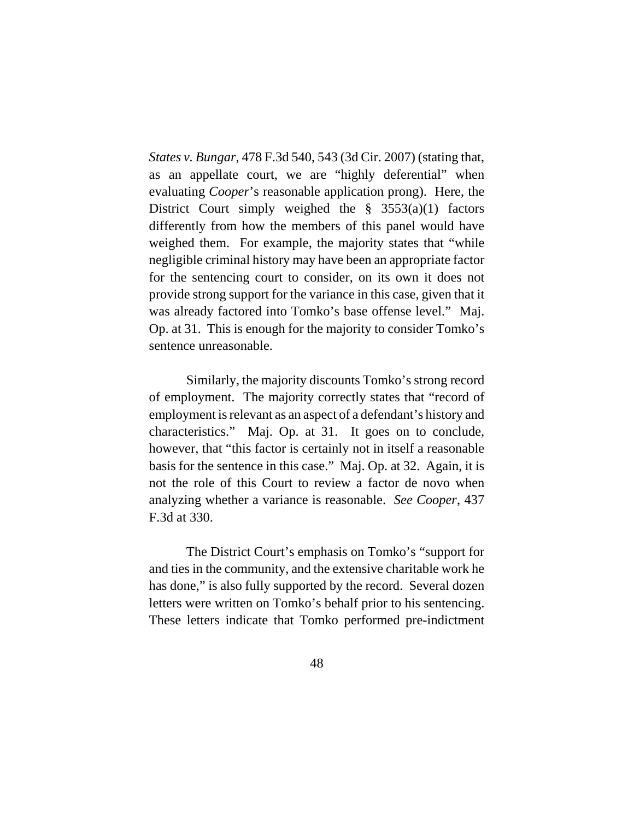*States v. Bungar*, 478 F.3d 540, 543 (3d Cir. 2007) (stating that, as an appellate court, we are "highly deferential" when evaluating *Cooper*'s reasonable application prong). Here, the District Court simply weighed the  $\S$  3553(a)(1) factors differently from how the members of this panel would have weighed them. For example, the majority states that "while negligible criminal history may have been an appropriate factor for the sentencing court to consider, on its own it does not provide strong support for the variance in this case, given that it was already factored into Tomko's base offense level." Maj. Op. at 31. This is enough for the majority to consider Tomko's sentence unreasonable.

Similarly, the majority discounts Tomko's strong record of employment. The majority correctly states that "record of employment is relevant as an aspect of a defendant's history and characteristics." Maj. Op. at 31. It goes on to conclude, however, that "this factor is certainly not in itself a reasonable basis for the sentence in this case." Maj. Op. at 32. Again, it is not the role of this Court to review a factor de novo when analyzing whether a variance is reasonable. *See Cooper*, 437 F.3d at 330.

The District Court's emphasis on Tomko's "support for and ties in the community, and the extensive charitable work he has done," is also fully supported by the record. Several dozen letters were written on Tomko's behalf prior to his sentencing. These letters indicate that Tomko performed pre-indictment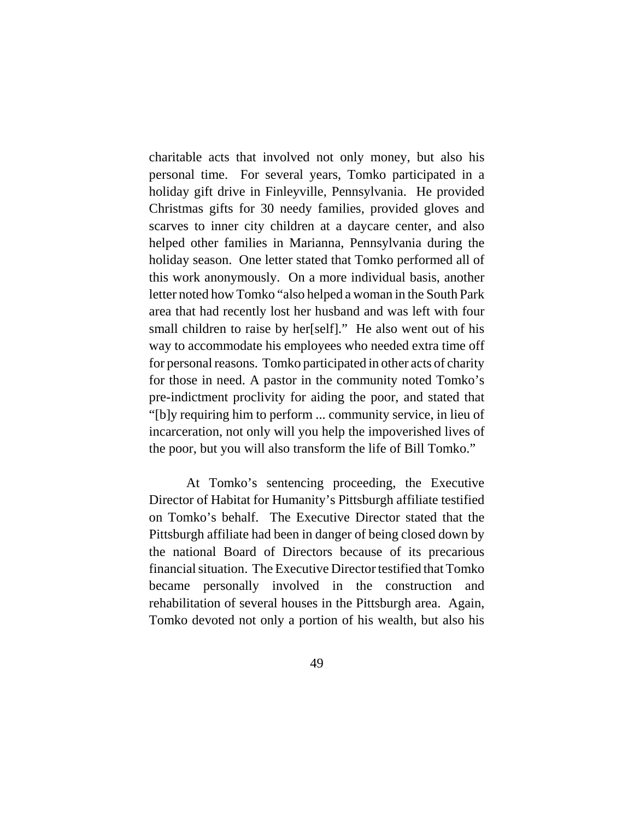charitable acts that involved not only money, but also his personal time. For several years, Tomko participated in a holiday gift drive in Finleyville, Pennsylvania. He provided Christmas gifts for 30 needy families, provided gloves and scarves to inner city children at a daycare center, and also helped other families in Marianna, Pennsylvania during the holiday season. One letter stated that Tomko performed all of this work anonymously. On a more individual basis, another letter noted how Tomko "also helped a woman in the South Park area that had recently lost her husband and was left with four small children to raise by her[self]." He also went out of his way to accommodate his employees who needed extra time off for personal reasons. Tomko participated in other acts of charity for those in need. A pastor in the community noted Tomko's pre-indictment proclivity for aiding the poor, and stated that "[b]y requiring him to perform ... community service, in lieu of incarceration, not only will you help the impoverished lives of the poor, but you will also transform the life of Bill Tomko."

At Tomko's sentencing proceeding, the Executive Director of Habitat for Humanity's Pittsburgh affiliate testified on Tomko's behalf. The Executive Director stated that the Pittsburgh affiliate had been in danger of being closed down by the national Board of Directors because of its precarious financial situation. The Executive Director testified that Tomko became personally involved in the construction and rehabilitation of several houses in the Pittsburgh area. Again, Tomko devoted not only a portion of his wealth, but also his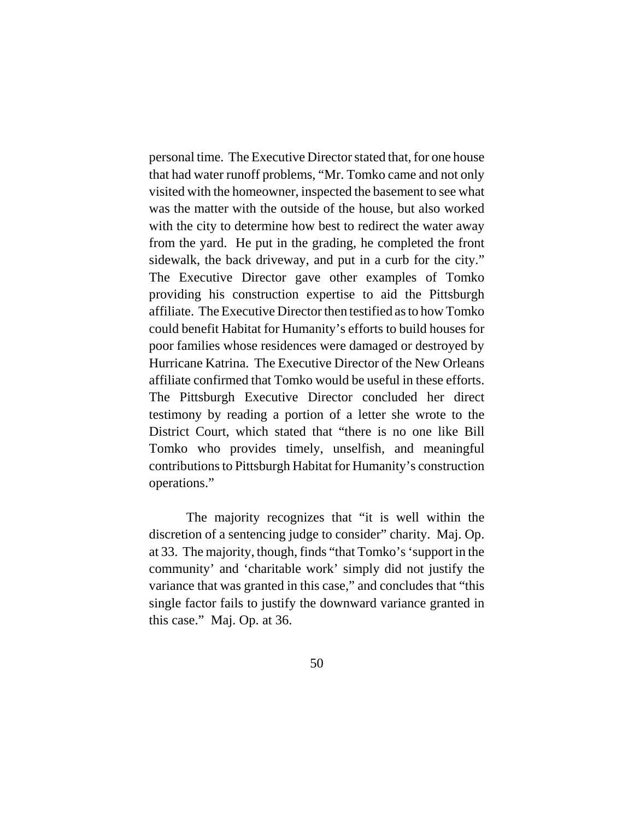personal time. The Executive Director stated that, for one house that had water runoff problems, "Mr. Tomko came and not only visited with the homeowner, inspected the basement to see what was the matter with the outside of the house, but also worked with the city to determine how best to redirect the water away from the yard. He put in the grading, he completed the front sidewalk, the back driveway, and put in a curb for the city." The Executive Director gave other examples of Tomko providing his construction expertise to aid the Pittsburgh affiliate. The Executive Director then testified as to how Tomko could benefit Habitat for Humanity's efforts to build houses for poor families whose residences were damaged or destroyed by Hurricane Katrina. The Executive Director of the New Orleans affiliate confirmed that Tomko would be useful in these efforts. The Pittsburgh Executive Director concluded her direct testimony by reading a portion of a letter she wrote to the District Court, which stated that "there is no one like Bill Tomko who provides timely, unselfish, and meaningful contributions to Pittsburgh Habitat for Humanity's construction operations."

The majority recognizes that "it is well within the discretion of a sentencing judge to consider" charity. Maj. Op. at 33. The majority, though, finds "that Tomko's 'support in the community' and 'charitable work' simply did not justify the variance that was granted in this case," and concludes that "this single factor fails to justify the downward variance granted in this case." Maj. Op. at 36.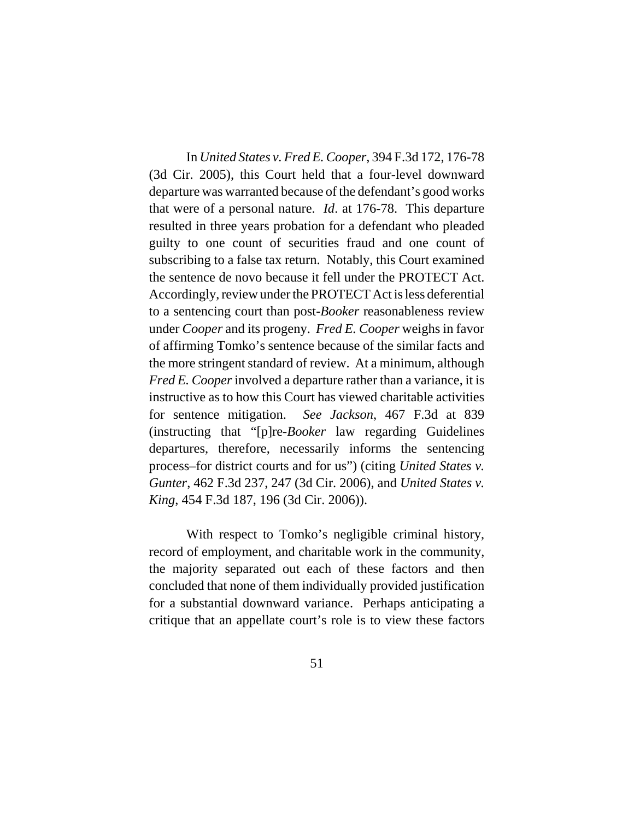In *United States v. Fred E. Cooper*, 394 F.3d 172, 176-78 (3d Cir. 2005), this Court held that a four-level downward departure was warranted because of the defendant's good works that were of a personal nature. *Id*. at 176-78. This departure resulted in three years probation for a defendant who pleaded guilty to one count of securities fraud and one count of subscribing to a false tax return. Notably, this Court examined the sentence de novo because it fell under the PROTECT Act. Accordingly, review under the PROTECT Act is less deferential to a sentencing court than post-*Booker* reasonableness review under *Cooper* and its progeny. *Fred E. Cooper* weighs in favor of affirming Tomko's sentence because of the similar facts and the more stringent standard of review. At a minimum, although *Fred E. Cooper* involved a departure rather than a variance, it is instructive as to how this Court has viewed charitable activities for sentence mitigation. *See Jackson*, 467 F.3d at 839 (instructing that "[p]re-*Booker* law regarding Guidelines departures, therefore, necessarily informs the sentencing process–for district courts and for us") (citing *United States v. Gunter*, 462 F.3d 237, 247 (3d Cir. 2006), and *United States v. King*, 454 F.3d 187, 196 (3d Cir. 2006)).

With respect to Tomko's negligible criminal history, record of employment, and charitable work in the community, the majority separated out each of these factors and then concluded that none of them individually provided justification for a substantial downward variance. Perhaps anticipating a critique that an appellate court's role is to view these factors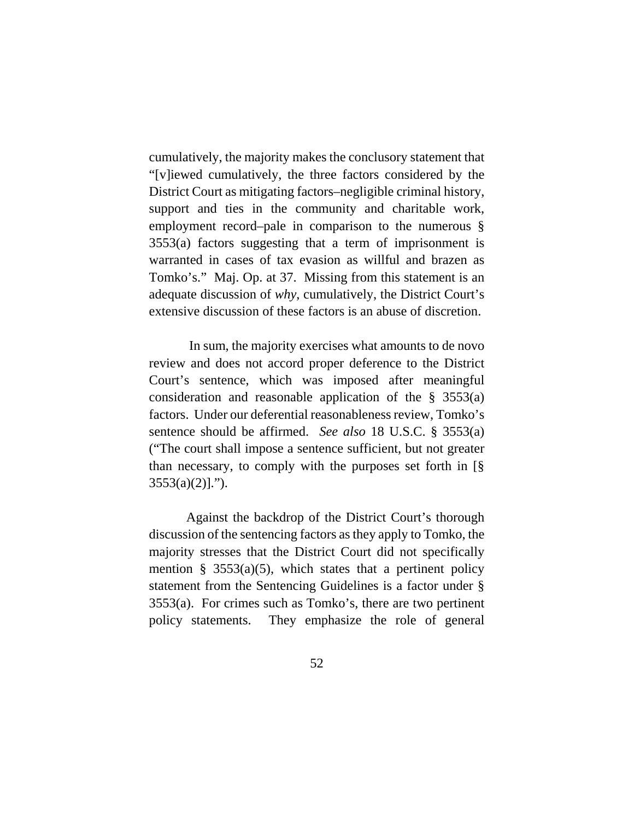cumulatively, the majority makes the conclusory statement that "[v]iewed cumulatively, the three factors considered by the District Court as mitigating factors–negligible criminal history, support and ties in the community and charitable work, employment record–pale in comparison to the numerous § 3553(a) factors suggesting that a term of imprisonment is warranted in cases of tax evasion as willful and brazen as Tomko's." Maj. Op. at 37. Missing from this statement is an adequate discussion of *why*, cumulatively, the District Court's extensive discussion of these factors is an abuse of discretion.

 In sum, the majority exercises what amounts to de novo review and does not accord proper deference to the District Court's sentence, which was imposed after meaningful consideration and reasonable application of the § 3553(a) factors. Under our deferential reasonableness review, Tomko's sentence should be affirmed. *See also* 18 U.S.C. § 3553(a) ("The court shall impose a sentence sufficient, but not greater than necessary, to comply with the purposes set forth in [§  $3553(a)(2)$ ].").

Against the backdrop of the District Court's thorough discussion of the sentencing factors as they apply to Tomko, the majority stresses that the District Court did not specifically mention § 3553(a)(5), which states that a pertinent policy statement from the Sentencing Guidelines is a factor under § 3553(a). For crimes such as Tomko's, there are two pertinent policy statements. They emphasize the role of general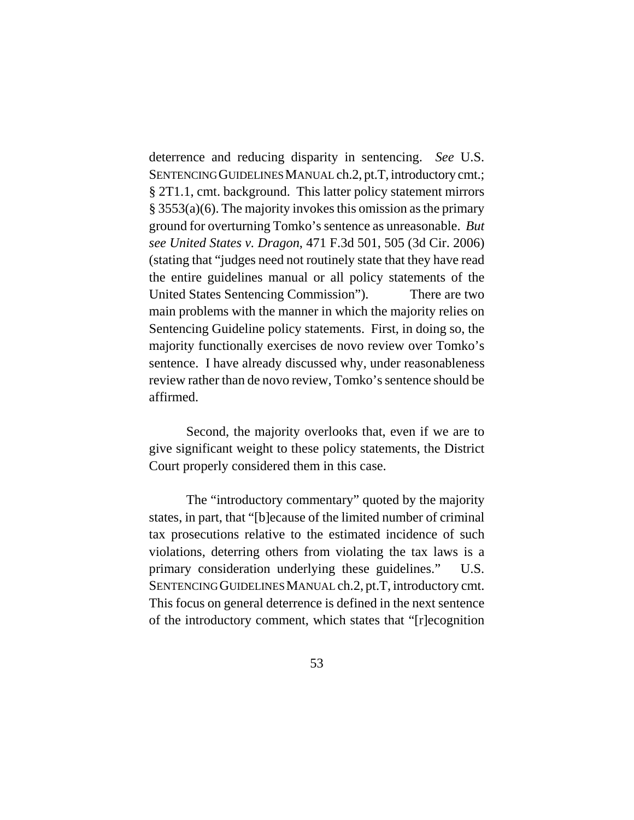deterrence and reducing disparity in sentencing. *See* U.S. SENTENCING GUIDELINES MANUAL ch.2, pt.T, introductory cmt.; § 2T1.1, cmt. background. This latter policy statement mirrors § 3553(a)(6). The majority invokes this omission as the primary ground for overturning Tomko's sentence as unreasonable. *But see United States v. Dragon*, 471 F.3d 501, 505 (3d Cir. 2006) (stating that "judges need not routinely state that they have read the entire guidelines manual or all policy statements of the United States Sentencing Commission"). There are two main problems with the manner in which the majority relies on Sentencing Guideline policy statements. First, in doing so, the majority functionally exercises de novo review over Tomko's sentence. I have already discussed why, under reasonableness review rather than de novo review, Tomko's sentence should be affirmed.

Second, the majority overlooks that, even if we are to give significant weight to these policy statements, the District Court properly considered them in this case.

The "introductory commentary" quoted by the majority states, in part, that "[b]ecause of the limited number of criminal tax prosecutions relative to the estimated incidence of such violations, deterring others from violating the tax laws is a primary consideration underlying these guidelines." U.S. SENTENCING GUIDELINES MANUAL ch.2, pt.T, introductory cmt. This focus on general deterrence is defined in the next sentence of the introductory comment, which states that "[r]ecognition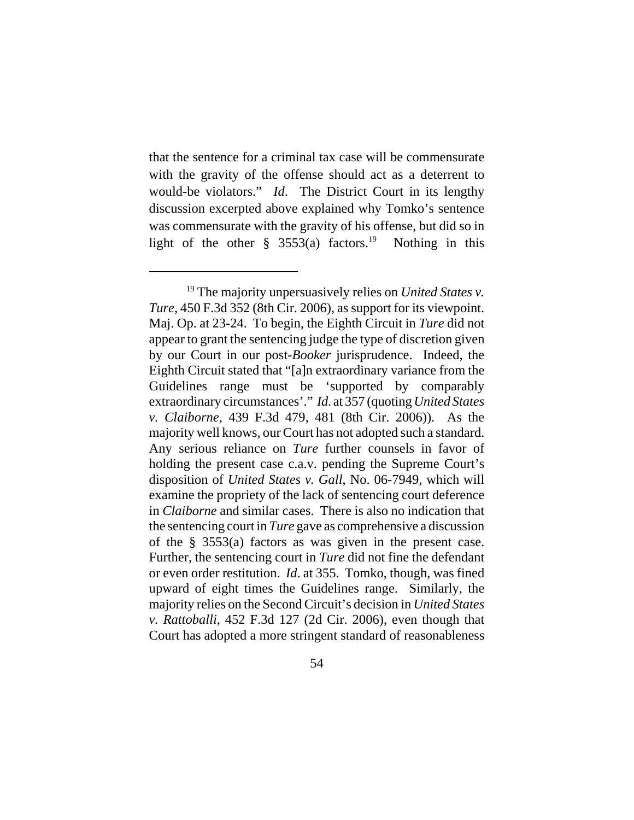that the sentence for a criminal tax case will be commensurate with the gravity of the offense should act as a deterrent to would-be violators." *Id*. The District Court in its lengthy discussion excerpted above explained why Tomko's sentence was commensurate with the gravity of his offense, but did so in light of the other  $\S$  3553(a) factors.<sup>19</sup> Nothing in this

<sup>19</sup> The majority unpersuasively relies on *United States v. Ture*, 450 F.3d 352 (8th Cir. 2006), as support for its viewpoint. Maj. Op. at 23-24. To begin, the Eighth Circuit in *Ture* did not appear to grant the sentencing judge the type of discretion given by our Court in our post-*Booker* jurisprudence. Indeed, the Eighth Circuit stated that "[a]n extraordinary variance from the Guidelines range must be 'supported by comparably extraordinary circumstances'." *Id*. at 357 (quoting *United States v. Claiborne*, 439 F.3d 479, 481 (8th Cir. 2006)). As the majority well knows, our Court has not adopted such a standard. Any serious reliance on *Ture* further counsels in favor of holding the present case c.a.v. pending the Supreme Court's disposition of *United States v. Gall*, No. 06-7949, which will examine the propriety of the lack of sentencing court deference in *Claiborne* and similar cases. There is also no indication that the sentencing court in *Ture* gave as comprehensive a discussion of the § 3553(a) factors as was given in the present case. Further, the sentencing court in *Ture* did not fine the defendant or even order restitution. *Id*. at 355. Tomko, though, was fined upward of eight times the Guidelines range. Similarly, the majority relies on the Second Circuit's decision in *United States v. Rattoballi*, 452 F.3d 127 (2d Cir. 2006), even though that Court has adopted a more stringent standard of reasonableness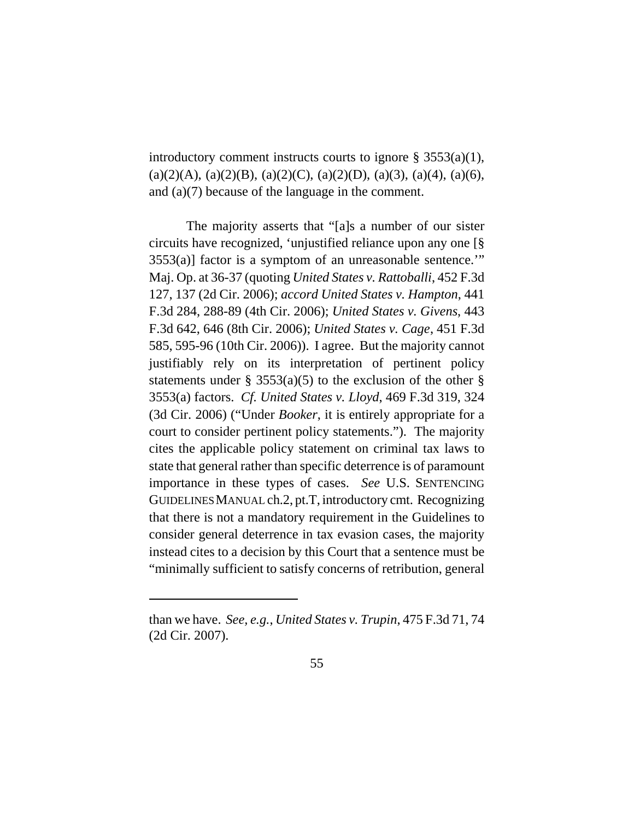introductory comment instructs courts to ignore § 3553(a)(1),  $(a)(2)(A), (a)(2)(B), (a)(2)(C), (a)(2)(D), (a)(3), (a)(4), (a)(6),$ and (a)(7) because of the language in the comment.

The majority asserts that "[a]s a number of our sister circuits have recognized, 'unjustified reliance upon any one [§ 3553(a)] factor is a symptom of an unreasonable sentence.'" Maj. Op. at 36-37 (quoting *United States v. Rattoballi*, 452 F.3d 127, 137 (2d Cir. 2006); *accord United States v. Hampton*, 441 F.3d 284, 288-89 (4th Cir. 2006); *United States v. Givens*, 443 F.3d 642, 646 (8th Cir. 2006); *United States v. Cage*, 451 F.3d 585, 595-96 (10th Cir. 2006)). I agree. But the majority cannot justifiably rely on its interpretation of pertinent policy statements under § 3553(a)(5) to the exclusion of the other § 3553(a) factors. *Cf. United States v. Lloyd*, 469 F.3d 319, 324 (3d Cir. 2006) ("Under *Booker*, it is entirely appropriate for a court to consider pertinent policy statements."). The majority cites the applicable policy statement on criminal tax laws to state that general rather than specific deterrence is of paramount importance in these types of cases. *See* U.S. SENTENCING GUIDELINES MANUAL ch.2, pt.T, introductory cmt. Recognizing that there is not a mandatory requirement in the Guidelines to consider general deterrence in tax evasion cases, the majority instead cites to a decision by this Court that a sentence must be "minimally sufficient to satisfy concerns of retribution, general

than we have. *See, e.g.*, *United States v. Trupin*, 475 F.3d 71, 74 (2d Cir. 2007).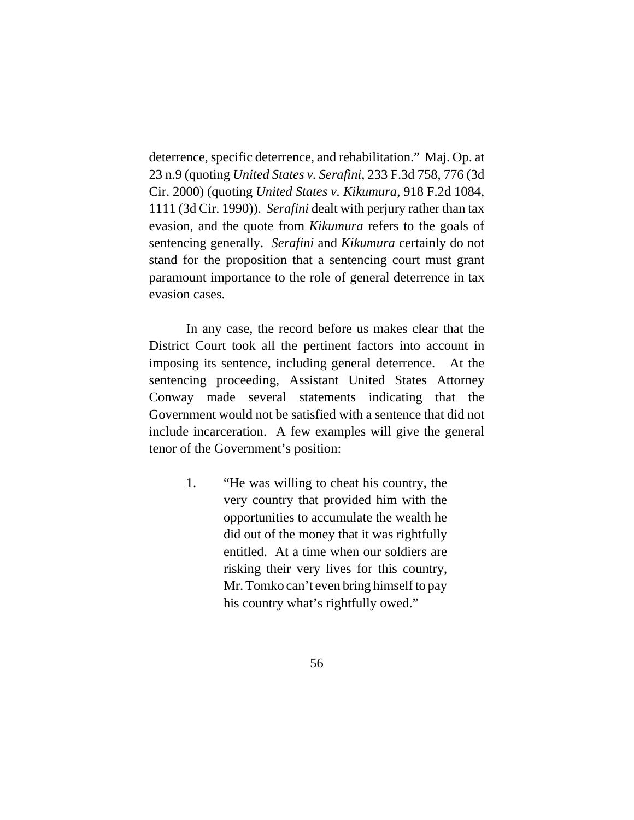deterrence, specific deterrence, and rehabilitation." Maj. Op. at 23 n.9 (quoting *United States v. Serafini*, 233 F.3d 758, 776 (3d Cir. 2000) (quoting *United States v. Kikumura*, 918 F.2d 1084, 1111 (3d Cir. 1990)). *Serafini* dealt with perjury rather than tax evasion, and the quote from *Kikumura* refers to the goals of sentencing generally. *Serafini* and *Kikumura* certainly do not stand for the proposition that a sentencing court must grant paramount importance to the role of general deterrence in tax evasion cases.

In any case, the record before us makes clear that the District Court took all the pertinent factors into account in imposing its sentence, including general deterrence. At the sentencing proceeding, Assistant United States Attorney Conway made several statements indicating that the Government would not be satisfied with a sentence that did not include incarceration. A few examples will give the general tenor of the Government's position:

> 1. "He was willing to cheat his country, the very country that provided him with the opportunities to accumulate the wealth he did out of the money that it was rightfully entitled. At a time when our soldiers are risking their very lives for this country, Mr. Tomko can't even bring himself to pay his country what's rightfully owed."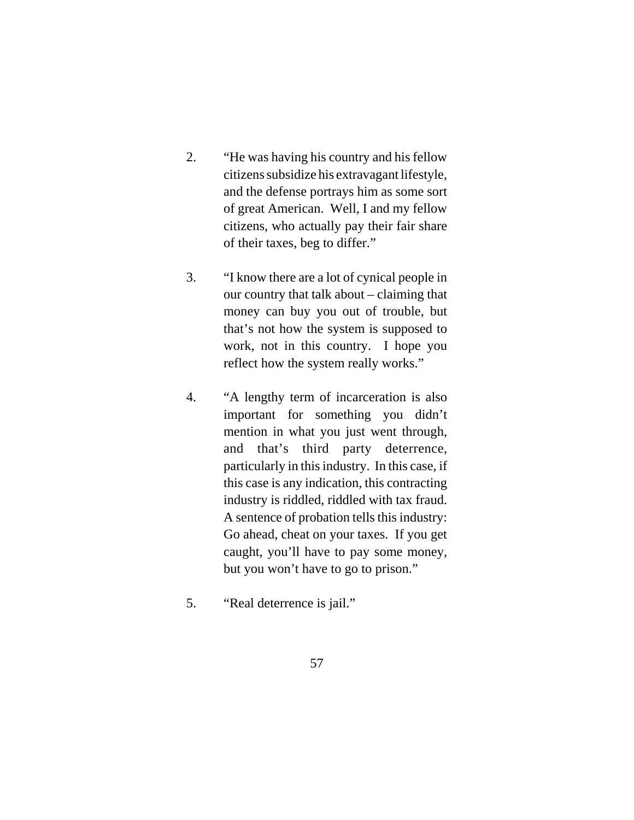- 2. "He was having his country and his fellow citizens subsidize his extravagant lifestyle, and the defense portrays him as some sort of great American. Well, I and my fellow citizens, who actually pay their fair share of their taxes, beg to differ."
- 3. "I know there are a lot of cynical people in our country that talk about – claiming that money can buy you out of trouble, but that's not how the system is supposed to work, not in this country. I hope you reflect how the system really works."
- 4. "A lengthy term of incarceration is also important for something you didn't mention in what you just went through, and that's third party deterrence, particularly in this industry. In this case, if this case is any indication, this contracting industry is riddled, riddled with tax fraud. A sentence of probation tells this industry: Go ahead, cheat on your taxes. If you get caught, you'll have to pay some money, but you won't have to go to prison."
- 5. "Real deterrence is jail."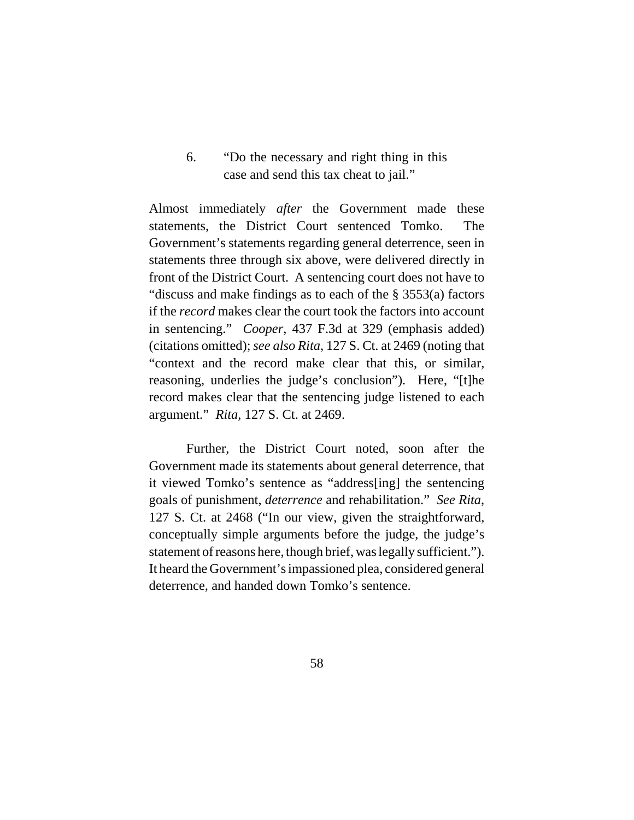6. "Do the necessary and right thing in this case and send this tax cheat to jail."

Almost immediately *after* the Government made these statements, the District Court sentenced Tomko. The Government's statements regarding general deterrence, seen in statements three through six above, were delivered directly in front of the District Court. A sentencing court does not have to "discuss and make findings as to each of the § 3553(a) factors if the *record* makes clear the court took the factors into account in sentencing." *Cooper*, 437 F.3d at 329 (emphasis added) (citations omitted); *see also Rita*, 127 S. Ct. at 2469 (noting that "context and the record make clear that this, or similar, reasoning, underlies the judge's conclusion"). Here, "[t]he record makes clear that the sentencing judge listened to each argument." *Rita*, 127 S. Ct. at 2469.

Further, the District Court noted, soon after the Government made its statements about general deterrence, that it viewed Tomko's sentence as "address[ing] the sentencing goals of punishment, *deterrence* and rehabilitation." *See Rita*, 127 S. Ct. at 2468 ("In our view, given the straightforward, conceptually simple arguments before the judge, the judge's statement of reasons here, though brief, was legally sufficient."). It heard the Government's impassioned plea, considered general deterrence, and handed down Tomko's sentence.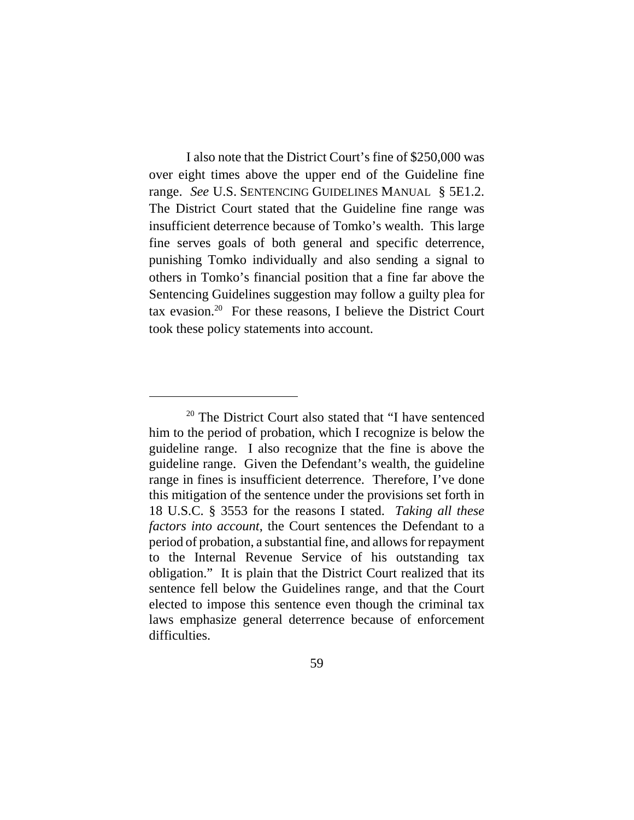I also note that the District Court's fine of \$250,000 was over eight times above the upper end of the Guideline fine range. *See* U.S. SENTENCING GUIDELINES MANUAL § 5E1.2. The District Court stated that the Guideline fine range was insufficient deterrence because of Tomko's wealth. This large fine serves goals of both general and specific deterrence, punishing Tomko individually and also sending a signal to others in Tomko's financial position that a fine far above the Sentencing Guidelines suggestion may follow a guilty plea for tax evasion.20 For these reasons, I believe the District Court took these policy statements into account.

<sup>&</sup>lt;sup>20</sup> The District Court also stated that "I have sentenced him to the period of probation, which I recognize is below the guideline range. I also recognize that the fine is above the guideline range. Given the Defendant's wealth, the guideline range in fines is insufficient deterrence. Therefore, I've done this mitigation of the sentence under the provisions set forth in 18 U.S.C. § 3553 for the reasons I stated. *Taking all these factors into account*, the Court sentences the Defendant to a period of probation, a substantial fine, and allows for repayment to the Internal Revenue Service of his outstanding tax obligation." It is plain that the District Court realized that its sentence fell below the Guidelines range, and that the Court elected to impose this sentence even though the criminal tax laws emphasize general deterrence because of enforcement difficulties.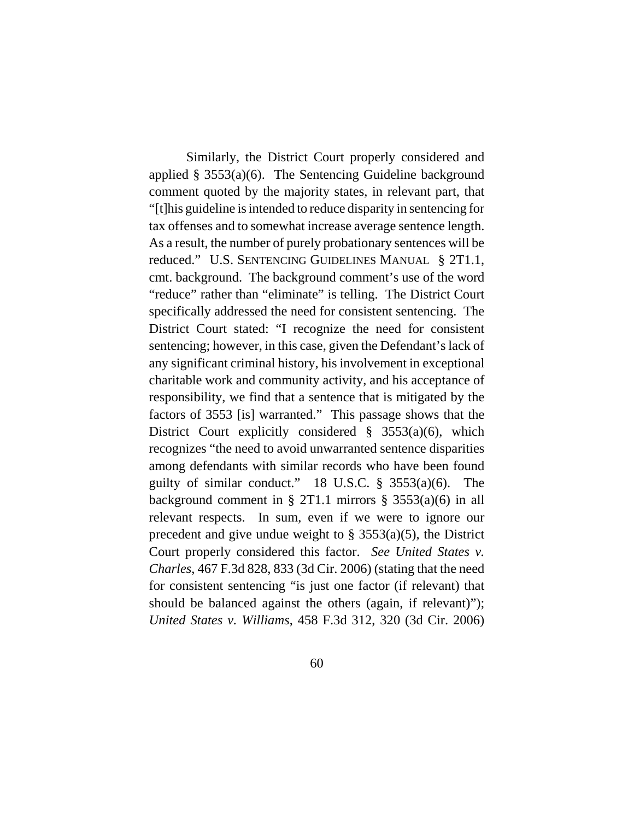Similarly, the District Court properly considered and applied  $\S$  3553(a)(6). The Sentencing Guideline background comment quoted by the majority states, in relevant part, that "[t]his guideline is intended to reduce disparity in sentencing for tax offenses and to somewhat increase average sentence length. As a result, the number of purely probationary sentences will be reduced." U.S. SENTENCING GUIDELINES MANUAL § 2T1.1, cmt. background. The background comment's use of the word "reduce" rather than "eliminate" is telling. The District Court specifically addressed the need for consistent sentencing. The District Court stated: "I recognize the need for consistent sentencing; however, in this case, given the Defendant's lack of any significant criminal history, his involvement in exceptional charitable work and community activity, and his acceptance of responsibility, we find that a sentence that is mitigated by the factors of 3553 [is] warranted." This passage shows that the District Court explicitly considered  $\S$  3553(a)(6), which recognizes "the need to avoid unwarranted sentence disparities among defendants with similar records who have been found guilty of similar conduct." 18 U.S.C.  $\S$  3553(a)(6). The background comment in § 2T1.1 mirrors § 3553(a)(6) in all relevant respects. In sum, even if we were to ignore our precedent and give undue weight to  $\S$  3553(a)(5), the District Court properly considered this factor. *See United States v. Charles*, 467 F.3d 828, 833 (3d Cir. 2006) (stating that the need for consistent sentencing "is just one factor (if relevant) that should be balanced against the others (again, if relevant)"); *United States v. Williams*, 458 F.3d 312, 320 (3d Cir. 2006)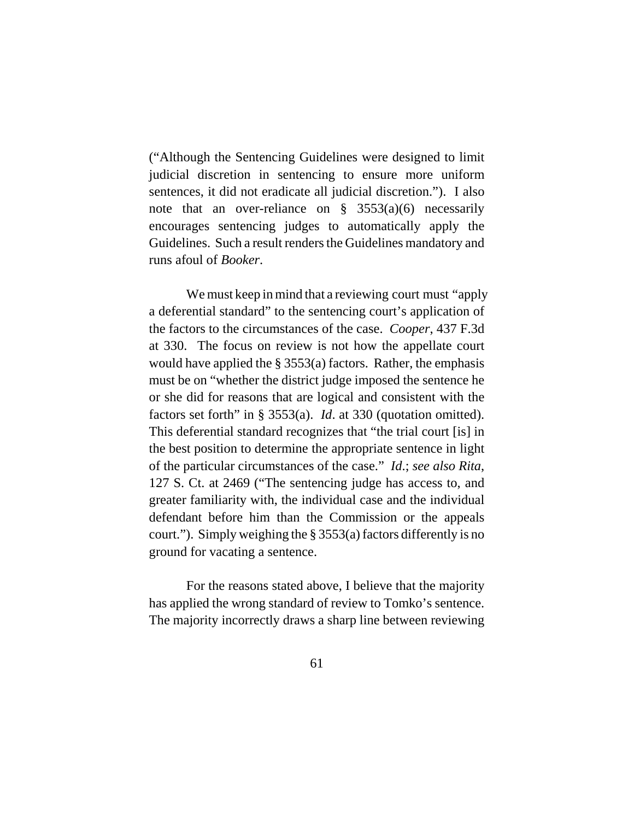("Although the Sentencing Guidelines were designed to limit judicial discretion in sentencing to ensure more uniform sentences, it did not eradicate all judicial discretion."). I also note that an over-reliance on  $\S$  3553(a)(6) necessarily encourages sentencing judges to automatically apply the Guidelines. Such a result renders the Guidelines mandatory and runs afoul of *Booker*.

 We must keep in mind that a reviewing court must "apply a deferential standard" to the sentencing court's application of the factors to the circumstances of the case. *Cooper*, 437 F.3d at 330. The focus on review is not how the appellate court would have applied the  $\S 3553(a)$  factors. Rather, the emphasis must be on "whether the district judge imposed the sentence he or she did for reasons that are logical and consistent with the factors set forth" in § 3553(a). *Id*. at 330 (quotation omitted). This deferential standard recognizes that "the trial court [is] in the best position to determine the appropriate sentence in light of the particular circumstances of the case." *Id*.; *see also Rita*, 127 S. Ct. at 2469 ("The sentencing judge has access to, and greater familiarity with, the individual case and the individual defendant before him than the Commission or the appeals court."). Simply weighing the § 3553(a) factors differently is no ground for vacating a sentence.

For the reasons stated above, I believe that the majority has applied the wrong standard of review to Tomko's sentence. The majority incorrectly draws a sharp line between reviewing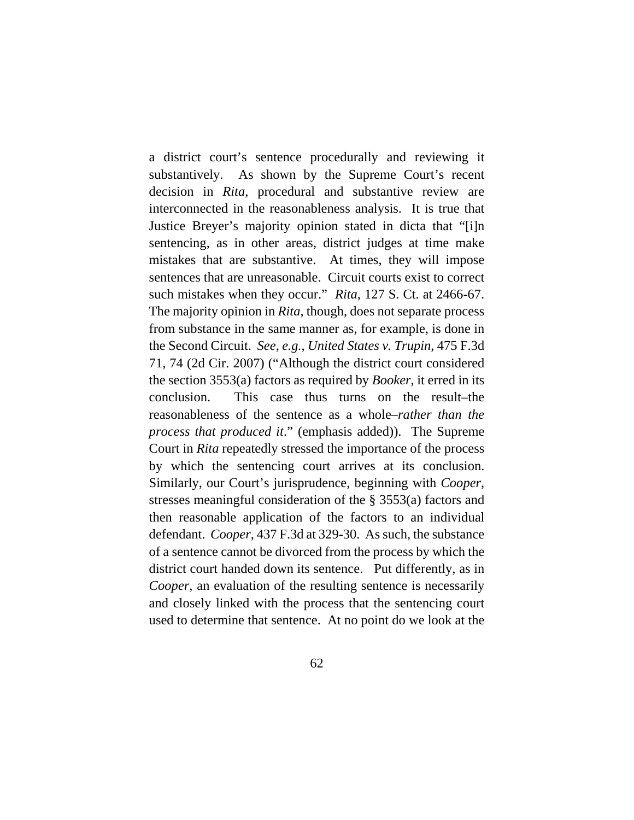a district court's sentence procedurally and reviewing it substantively. As shown by the Supreme Court's recent decision in *Rita*, procedural and substantive review are interconnected in the reasonableness analysis. It is true that Justice Breyer's majority opinion stated in dicta that "[i]n sentencing, as in other areas, district judges at time make mistakes that are substantive. At times, they will impose sentences that are unreasonable. Circuit courts exist to correct such mistakes when they occur." *Rita*, 127 S. Ct. at 2466-67. The majority opinion in *Rita*, though, does not separate process from substance in the same manner as, for example, is done in the Second Circuit. *See, e.g.*, *United States v. Trupin*, 475 F.3d 71, 74 (2d Cir. 2007) ("Although the district court considered the section 3553(a) factors as required by *Booker*, it erred in its conclusion. This case thus turns on the result–the reasonableness of the sentence as a whole–*rather than the process that produced it*." (emphasis added)). The Supreme Court in *Rita* repeatedly stressed the importance of the process by which the sentencing court arrives at its conclusion. Similarly, our Court's jurisprudence, beginning with *Cooper*, stresses meaningful consideration of the § 3553(a) factors and then reasonable application of the factors to an individual defendant. *Cooper*, 437 F.3d at 329-30. As such, the substance of a sentence cannot be divorced from the process by which the district court handed down its sentence. Put differently, as in *Cooper*, an evaluation of the resulting sentence is necessarily and closely linked with the process that the sentencing court used to determine that sentence. At no point do we look at the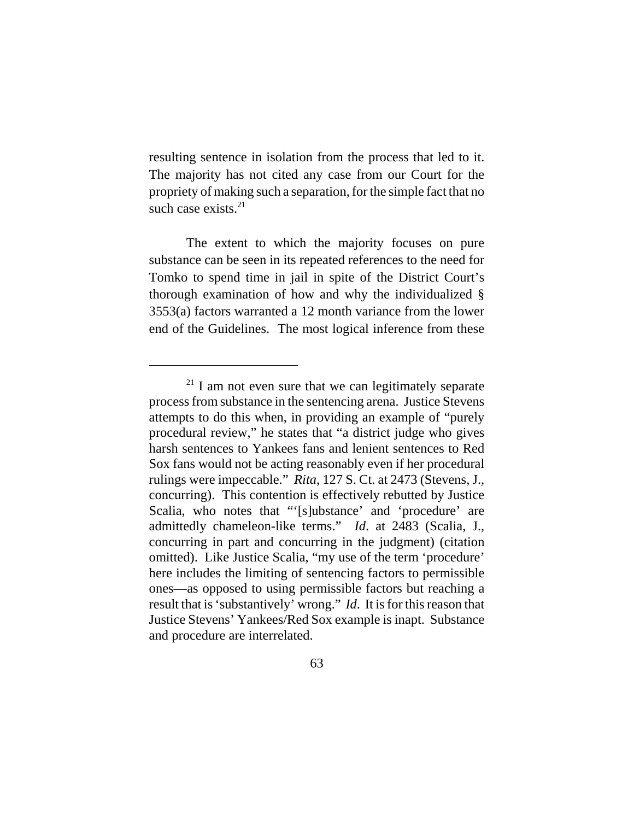resulting sentence in isolation from the process that led to it. The majority has not cited any case from our Court for the propriety of making such a separation, for the simple fact that no such case exists. $21$ 

The extent to which the majority focuses on pure substance can be seen in its repeated references to the need for Tomko to spend time in jail in spite of the District Court's thorough examination of how and why the individualized § 3553(a) factors warranted a 12 month variance from the lower end of the Guidelines. The most logical inference from these

<sup>&</sup>lt;sup>21</sup> I am not even sure that we can legitimately separate process from substance in the sentencing arena. Justice Stevens attempts to do this when, in providing an example of "purely procedural review," he states that "a district judge who gives harsh sentences to Yankees fans and lenient sentences to Red Sox fans would not be acting reasonably even if her procedural rulings were impeccable." *Rita*, 127 S. Ct. at 2473 (Stevens, J., concurring). This contention is effectively rebutted by Justice Scalia, who notes that "'[s]ubstance' and 'procedure' are admittedly chameleon-like terms." *Id*. at 2483 (Scalia, J., concurring in part and concurring in the judgment) (citation omitted). Like Justice Scalia, "my use of the term 'procedure' here includes the limiting of sentencing factors to permissible ones—as opposed to using permissible factors but reaching a result that is 'substantively' wrong." *Id*. It is for this reason that Justice Stevens' Yankees/Red Sox example is inapt. Substance and procedure are interrelated.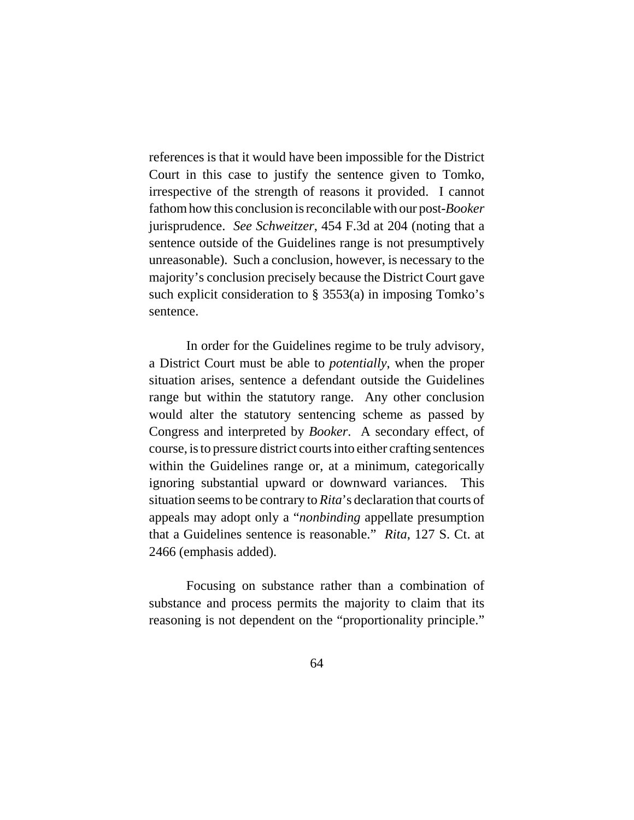references is that it would have been impossible for the District Court in this case to justify the sentence given to Tomko, irrespective of the strength of reasons it provided. I cannot fathom how this conclusion is reconcilable with our post-*Booker* jurisprudence. *See Schweitzer*, 454 F.3d at 204 (noting that a sentence outside of the Guidelines range is not presumptively unreasonable). Such a conclusion, however, is necessary to the majority's conclusion precisely because the District Court gave such explicit consideration to § 3553(a) in imposing Tomko's sentence.

In order for the Guidelines regime to be truly advisory, a District Court must be able to *potentially*, when the proper situation arises, sentence a defendant outside the Guidelines range but within the statutory range. Any other conclusion would alter the statutory sentencing scheme as passed by Congress and interpreted by *Booker*. A secondary effect, of course, is to pressure district courts into either crafting sentences within the Guidelines range or, at a minimum, categorically ignoring substantial upward or downward variances. This situation seems to be contrary to *Rita*'s declaration that courts of appeals may adopt only a "*nonbinding* appellate presumption that a Guidelines sentence is reasonable." *Rita*, 127 S. Ct. at 2466 (emphasis added).

Focusing on substance rather than a combination of substance and process permits the majority to claim that its reasoning is not dependent on the "proportionality principle."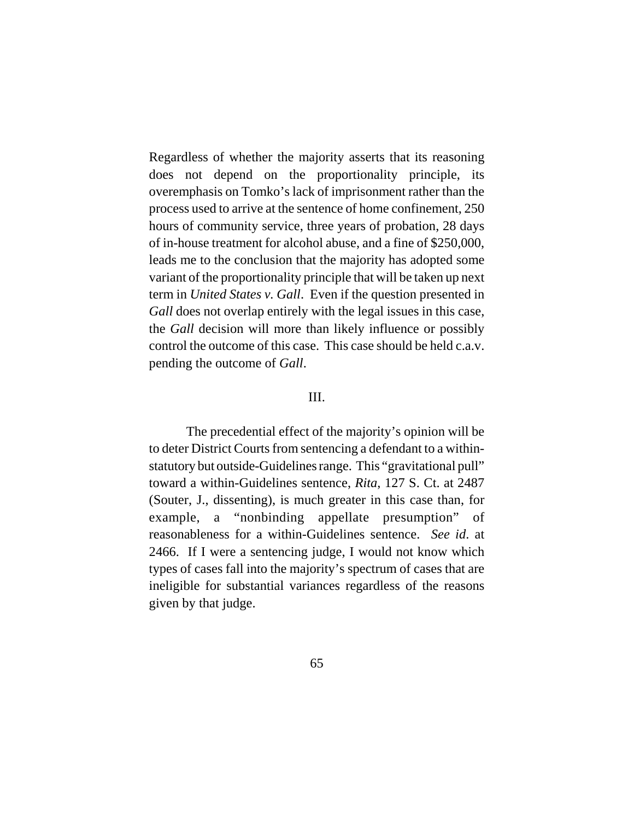Regardless of whether the majority asserts that its reasoning does not depend on the proportionality principle, its overemphasis on Tomko's lack of imprisonment rather than the process used to arrive at the sentence of home confinement, 250 hours of community service, three years of probation, 28 days of in-house treatment for alcohol abuse, and a fine of \$250,000, leads me to the conclusion that the majority has adopted some variant of the proportionality principle that will be taken up next term in *United States v. Gall*. Even if the question presented in *Gall* does not overlap entirely with the legal issues in this case, the *Gall* decision will more than likely influence or possibly control the outcome of this case. This case should be held c.a.v. pending the outcome of *Gall*.

## III.

The precedential effect of the majority's opinion will be to deter District Courts from sentencing a defendant to a withinstatutory but outside-Guidelines range. This "gravitational pull" toward a within-Guidelines sentence, *Rita*, 127 S. Ct. at 2487 (Souter, J., dissenting), is much greater in this case than, for example, a "nonbinding appellate presumption" of reasonableness for a within-Guidelines sentence. *See id*. at 2466. If I were a sentencing judge, I would not know which types of cases fall into the majority's spectrum of cases that are ineligible for substantial variances regardless of the reasons given by that judge.